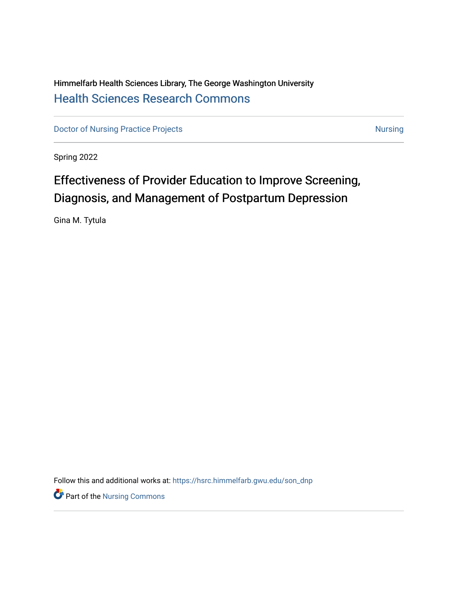# Himmelfarb Health Sciences Library, The George Washington University [Health Sciences Research Commons](https://hsrc.himmelfarb.gwu.edu/)

[Doctor of Nursing Practice Projects](https://hsrc.himmelfarb.gwu.edu/son_dnp) [Nursing](https://hsrc.himmelfarb.gwu.edu/son_nurs) Nursing Nursing

Spring 2022

# Effectiveness of Provider Education to Improve Screening, Diagnosis, and Management of Postpartum Depression

Gina M. Tytula

Follow this and additional works at: [https://hsrc.himmelfarb.gwu.edu/son\\_dnp](https://hsrc.himmelfarb.gwu.edu/son_dnp?utm_source=hsrc.himmelfarb.gwu.edu%2Fson_dnp%2F118&utm_medium=PDF&utm_campaign=PDFCoverPages)

**P** Part of the Nursing Commons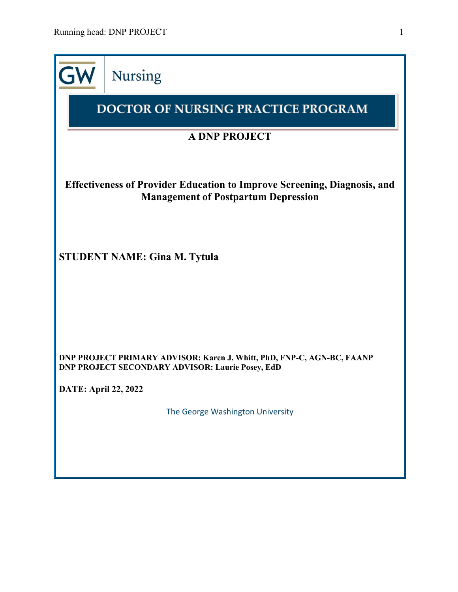|                                                                                                                               | <b>Nursing</b>                                                                                                                    |  |  |  |  |  |  |  |
|-------------------------------------------------------------------------------------------------------------------------------|-----------------------------------------------------------------------------------------------------------------------------------|--|--|--|--|--|--|--|
|                                                                                                                               | <b>DOCTOR OF NURSING PRACTICE PROGRAM</b>                                                                                         |  |  |  |  |  |  |  |
|                                                                                                                               | <b>A DNP PROJECT</b>                                                                                                              |  |  |  |  |  |  |  |
| <b>Effectiveness of Provider Education to Improve Screening, Diagnosis, and</b><br><b>Management of Postpartum Depression</b> |                                                                                                                                   |  |  |  |  |  |  |  |
|                                                                                                                               | <b>STUDENT NAME: Gina M. Tytula</b>                                                                                               |  |  |  |  |  |  |  |
|                                                                                                                               | DNP PROJECT PRIMARY ADVISOR: Karen J. Whitt, PhD, FNP-C, AGN-BC, FAANP<br><b>DNP PROJECT SECONDARY ADVISOR: Laurie Posey, EdD</b> |  |  |  |  |  |  |  |
| <b>DATE: April 22, 2022</b>                                                                                                   |                                                                                                                                   |  |  |  |  |  |  |  |
|                                                                                                                               | The George Washington University                                                                                                  |  |  |  |  |  |  |  |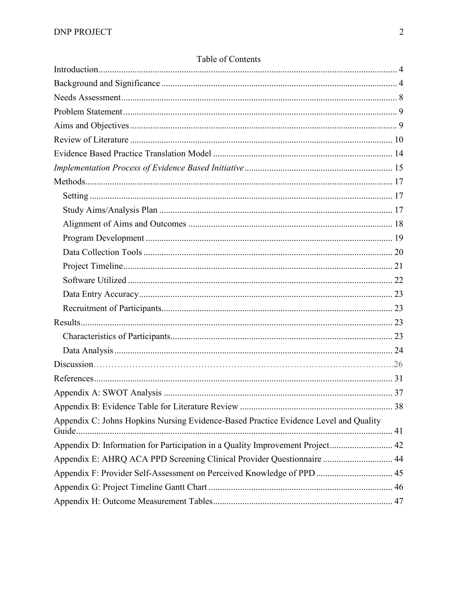| Appendix C: Johns Hopkins Nursing Evidence-Based Practice Evidence Level and Quality |
|--------------------------------------------------------------------------------------|
| Appendix D: Information for Participation in a Quality Improvement Project 42        |
| Appendix E: AHRQ ACA PPD Screening Clinical Provider Questionnaire  44               |
| Appendix F: Provider Self-Assessment on Perceived Knowledge of PPD  45               |
|                                                                                      |
|                                                                                      |

# Table of Contents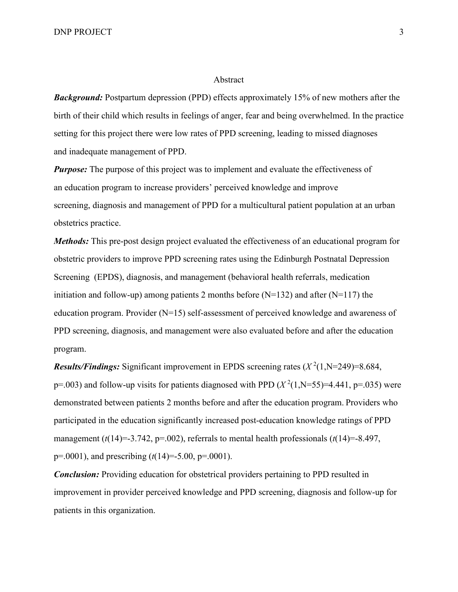#### Abstract

*Background:* Postpartum depression (PPD) effects approximately 15% of new mothers after the birth of their child which results in feelings of anger, fear and being overwhelmed. In the practice setting for this project there were low rates of PPD screening, leading to missed diagnoses and inadequate management of PPD.

*Purpose:* The purpose of this project was to implement and evaluate the effectiveness of an education program to increase providers' perceived knowledge and improve screening, diagnosis and management of PPD for a multicultural patient population at an urban obstetrics practice.

*Methods:* This pre-post design project evaluated the effectiveness of an educational program for obstetric providers to improve PPD screening rates using the Edinburgh Postnatal Depression Screening (EPDS), diagnosis, and management (behavioral health referrals, medication initiation and follow-up) among patients 2 months before ( $N=132$ ) and after ( $N=117$ ) the education program. Provider (N=15) self-assessment of perceived knowledge and awareness of PPD screening, diagnosis, and management were also evaluated before and after the education program.

**Results/Findings:** Significant improvement in EPDS screening rates ( $X^2(1, N=249)=8.684$ , p=.003) and follow-up visits for patients diagnosed with PPD  $(X^2(1, N=55)=4.441, p=.035)$  were demonstrated between patients 2 months before and after the education program. Providers who participated in the education significantly increased post-education knowledge ratings of PPD management  $(t(14)=3.742, p=.002)$ , referrals to mental health professionals  $(t(14)=8.497,$ p=.0001), and prescribing (*t*(14)=-5.00, p=.0001).

*Conclusion:* Providing education for obstetrical providers pertaining to PPD resulted in improvement in provider perceived knowledge and PPD screening, diagnosis and follow-up for patients in this organization.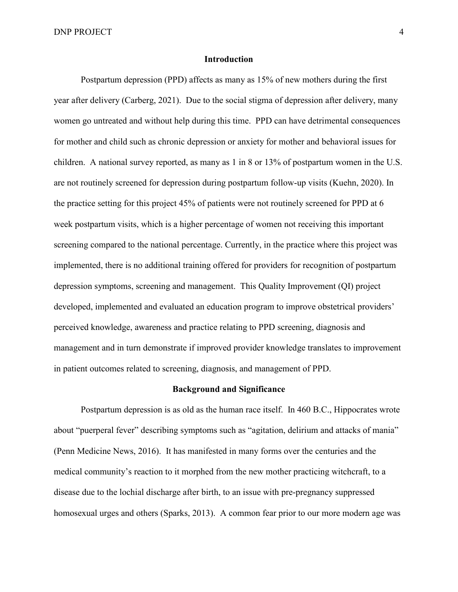DNP PROJECT 4

### <span id="page-4-0"></span>**Introduction**

Postpartum depression (PPD) affects as many as 15% of new mothers during the first year after delivery (Carberg, 2021). Due to the social stigma of depression after delivery, many women go untreated and without help during this time. PPD can have detrimental consequences for mother and child such as chronic depression or anxiety for mother and behavioral issues for children. A national survey reported, as many as 1 in 8 or 13% of postpartum women in the U.S. are not routinely screened for depression during postpartum follow-up visits (Kuehn, 2020). In the practice setting for this project 45% of patients were not routinely screened for PPD at 6 week postpartum visits, which is a higher percentage of women not receiving this important screening compared to the national percentage. Currently, in the practice where this project was implemented, there is no additional training offered for providers for recognition of postpartum depression symptoms, screening and management. This Quality Improvement (QI) project developed, implemented and evaluated an education program to improve obstetrical providers' perceived knowledge, awareness and practice relating to PPD screening, diagnosis and management and in turn demonstrate if improved provider knowledge translates to improvement in patient outcomes related to screening, diagnosis, and management of PPD.

### **Background and Significance**

<span id="page-4-1"></span>Postpartum depression is as old as the human race itself. In 460 B.C., Hippocrates wrote about "puerperal fever" describing symptoms such as "agitation, delirium and attacks of mania" (Penn Medicine News, 2016). It has manifested in many forms over the centuries and the medical community's reaction to it morphed from the new mother practicing witchcraft, to a disease due to the lochial discharge after birth, to an issue with pre-pregnancy suppressed homosexual urges and others (Sparks, 2013). A common fear prior to our more modern age was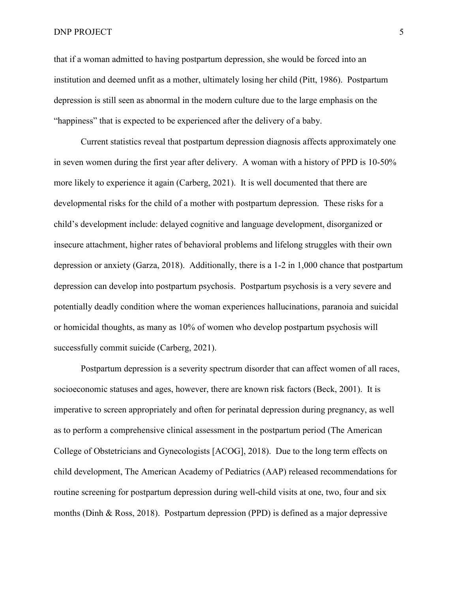#### DNP PROJECT 5

that if a woman admitted to having postpartum depression, she would be forced into an institution and deemed unfit as a mother, ultimately losing her child (Pitt, 1986). Postpartum depression is still seen as abnormal in the modern culture due to the large emphasis on the "happiness" that is expected to be experienced after the delivery of a baby.

Current statistics reveal that postpartum depression diagnosis affects approximately one in seven women during the first year after delivery. A woman with a history of PPD is 10-50% more likely to experience it again (Carberg, 2021). It is well documented that there are developmental risks for the child of a mother with postpartum depression. These risks for a child's development include: delayed cognitive and language development, disorganized or insecure attachment, higher rates of behavioral problems and lifelong struggles with their own depression or anxiety (Garza, 2018). Additionally, there is a 1-2 in 1,000 chance that postpartum depression can develop into postpartum psychosis. Postpartum psychosis is a very severe and potentially deadly condition where the woman experiences hallucinations, paranoia and suicidal or homicidal thoughts, as many as 10% of women who develop postpartum psychosis will successfully commit suicide (Carberg, 2021).

Postpartum depression is a severity spectrum disorder that can affect women of all races, socioeconomic statuses and ages, however, there are known risk factors (Beck, 2001). It is imperative to screen appropriately and often for perinatal depression during pregnancy, as well as to perform a comprehensive clinical assessment in the postpartum period (The American College of Obstetricians and Gynecologists [ACOG], 2018). Due to the long term effects on child development, The American Academy of Pediatrics (AAP) released recommendations for routine screening for postpartum depression during well-child visits at one, two, four and six months (Dinh & Ross, 2018). Postpartum depression (PPD) is defined as a major depressive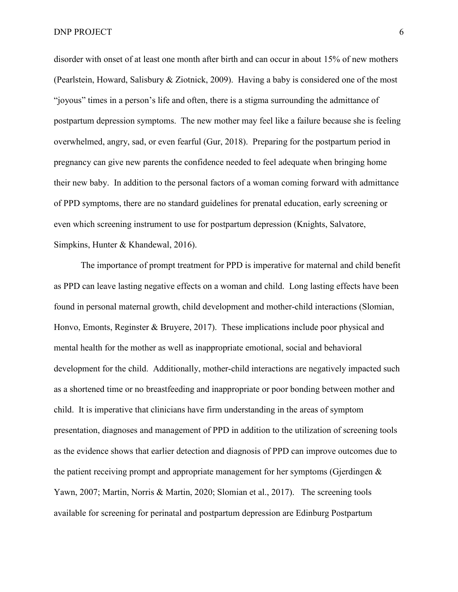disorder with onset of at least one month after birth and can occur in about 15% of new mothers (Pearlstein, Howard, Salisbury & Ziotnick, 2009). Having a baby is considered one of the most "joyous" times in a person's life and often, there is a stigma surrounding the admittance of postpartum depression symptoms. The new mother may feel like a failure because she is feeling overwhelmed, angry, sad, or even fearful (Gur, 2018). Preparing for the postpartum period in pregnancy can give new parents the confidence needed to feel adequate when bringing home their new baby. In addition to the personal factors of a woman coming forward with admittance of PPD symptoms, there are no standard guidelines for prenatal education, early screening or even which screening instrument to use for postpartum depression (Knights, Salvatore, Simpkins, Hunter & Khandewal, 2016).

The importance of prompt treatment for PPD is imperative for maternal and child benefit as PPD can leave lasting negative effects on a woman and child. Long lasting effects have been found in personal maternal growth, child development and mother-child interactions (Slomian, Honvo, Emonts, Reginster & Bruyere, 2017). These implications include poor physical and mental health for the mother as well as inappropriate emotional, social and behavioral development for the child. Additionally, mother-child interactions are negatively impacted such as a shortened time or no breastfeeding and inappropriate or poor bonding between mother and child. It is imperative that clinicians have firm understanding in the areas of symptom presentation, diagnoses and management of PPD in addition to the utilization of screening tools as the evidence shows that earlier detection and diagnosis of PPD can improve outcomes due to the patient receiving prompt and appropriate management for her symptoms (Gjerdingen & Yawn, 2007; Martin, Norris & Martin, 2020; Slomian et al., 2017). The screening tools available for screening for perinatal and postpartum depression are Edinburg Postpartum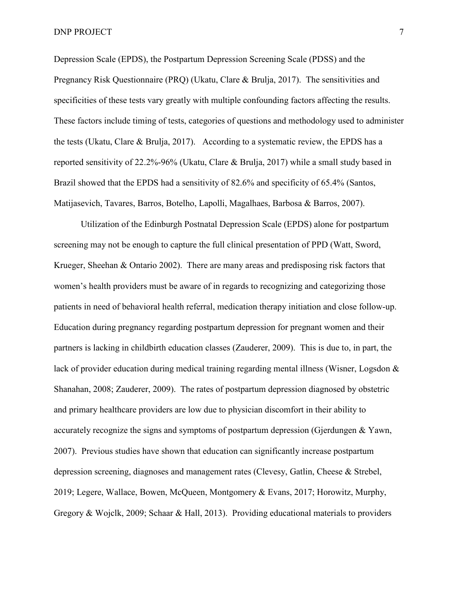Depression Scale (EPDS), the Postpartum Depression Screening Scale (PDSS) and the Pregnancy Risk Questionnaire (PRQ) (Ukatu, Clare & Brulja, 2017). The sensitivities and specificities of these tests vary greatly with multiple confounding factors affecting the results. These factors include timing of tests, categories of questions and methodology used to administer the tests (Ukatu, Clare & Brulja, 2017). According to a systematic review, the EPDS has a reported sensitivity of 22.2%-96% (Ukatu, Clare & Brulja, 2017) while a small study based in Brazil showed that the EPDS had a sensitivity of 82.6% and specificity of 65.4% (Santos, Matijasevich, Tavares, Barros, Botelho, Lapolli, Magalhaes, Barbosa & Barros, 2007).

Utilization of the Edinburgh Postnatal Depression Scale (EPDS) alone for postpartum screening may not be enough to capture the full clinical presentation of PPD (Watt, Sword, Krueger, Sheehan & Ontario 2002). There are many areas and predisposing risk factors that women's health providers must be aware of in regards to recognizing and categorizing those patients in need of behavioral health referral, medication therapy initiation and close follow-up. Education during pregnancy regarding postpartum depression for pregnant women and their partners is lacking in childbirth education classes (Zauderer, 2009). This is due to, in part, the lack of provider education during medical training regarding mental illness (Wisner, Logsdon & Shanahan, 2008; Zauderer, 2009). The rates of postpartum depression diagnosed by obstetric and primary healthcare providers are low due to physician discomfort in their ability to accurately recognize the signs and symptoms of postpartum depression (Gjerdungen & Yawn, 2007). Previous studies have shown that education can significantly increase postpartum depression screening, diagnoses and management rates (Clevesy, Gatlin, Cheese & Strebel, 2019; Legere, Wallace, Bowen, McQueen, Montgomery & Evans, 2017; Horowitz, Murphy, Gregory & Wojclk, 2009; Schaar & Hall, 2013). Providing educational materials to providers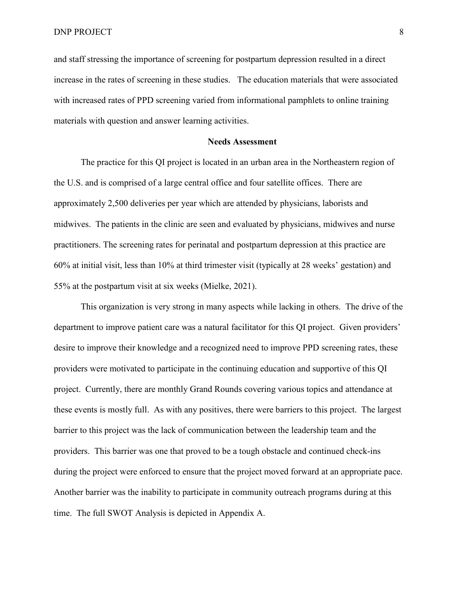DNP PROJECT 8

and staff stressing the importance of screening for postpartum depression resulted in a direct increase in the rates of screening in these studies. The education materials that were associated with increased rates of PPD screening varied from informational pamphlets to online training materials with question and answer learning activities.

### **Needs Assessment**

<span id="page-8-0"></span>The practice for this QI project is located in an urban area in the Northeastern region of the U.S. and is comprised of a large central office and four satellite offices. There are approximately 2,500 deliveries per year which are attended by physicians, laborists and midwives. The patients in the clinic are seen and evaluated by physicians, midwives and nurse practitioners. The screening rates for perinatal and postpartum depression at this practice are 60% at initial visit, less than 10% at third trimester visit (typically at 28 weeks' gestation) and 55% at the postpartum visit at six weeks (Mielke, 2021).

This organization is very strong in many aspects while lacking in others. The drive of the department to improve patient care was a natural facilitator for this QI project. Given providers' desire to improve their knowledge and a recognized need to improve PPD screening rates, these providers were motivated to participate in the continuing education and supportive of this QI project. Currently, there are monthly Grand Rounds covering various topics and attendance at these events is mostly full. As with any positives, there were barriers to this project. The largest barrier to this project was the lack of communication between the leadership team and the providers. This barrier was one that proved to be a tough obstacle and continued check-ins during the project were enforced to ensure that the project moved forward at an appropriate pace. Another barrier was the inability to participate in community outreach programs during at this time. The full SWOT Analysis is depicted in Appendix A.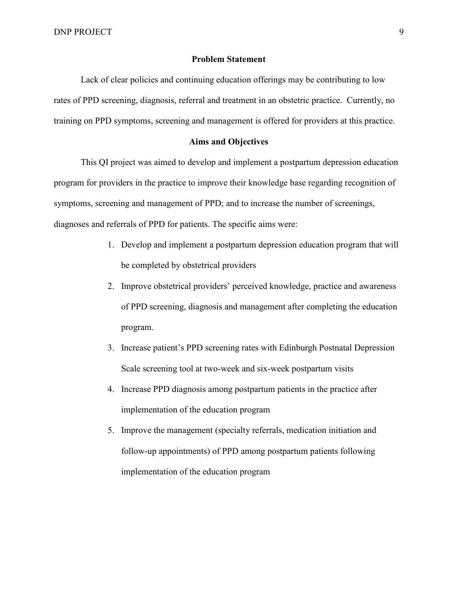# **Problem Statement**

<span id="page-9-0"></span>Lack of clear policies and continuing education offerings may be contributing to low rates of PPD screening, diagnosis, referral and treatment in an obstetric practice. Currently, no training on PPD symptoms, screening and management is offered for providers at this practice.

# **Aims and Objectives**

<span id="page-9-1"></span>This QI project was aimed to develop and implement a postpartum depression education program for providers in the practice to improve their knowledge base regarding recognition of symptoms, screening and management of PPD; and to increase the number of screenings, diagnoses and referrals of PPD for patients. The specific aims were:

- 1. Develop and implement a postpartum depression education program that will be completed by obstetrical providers
- 2. Improve obstetrical providers' perceived knowledge, practice and awareness of PPD screening, diagnosis and management after completing the education program.
- 3. Increase patient's PPD screening rates with Edinburgh Postnatal Depression Scale screening tool at two-week and six-week postpartum visits
- 4. Increase PPD diagnosis among postpartum patients in the practice after implementation of the education program
- <span id="page-9-2"></span>5. Improve the management (specialty referrals, medication initiation and follow-up appointments) of PPD among postpartum patients following implementation of the education program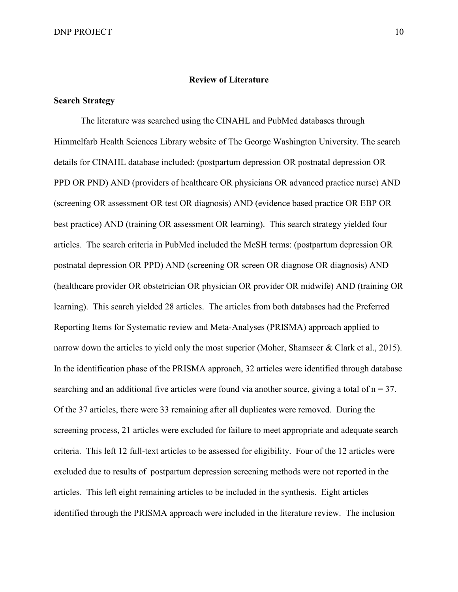#### **Review of Literature**

## **Search Strategy**

The literature was searched using the CINAHL and PubMed databases through Himmelfarb Health Sciences Library website of The George Washington University. The search details for CINAHL database included: (postpartum depression OR postnatal depression OR PPD OR PND) AND (providers of healthcare OR physicians OR advanced practice nurse) AND (screening OR assessment OR test OR diagnosis) AND (evidence based practice OR EBP OR best practice) AND (training OR assessment OR learning). This search strategy yielded four articles. The search criteria in PubMed included the MeSH terms: (postpartum depression OR postnatal depression OR PPD) AND (screening OR screen OR diagnose OR diagnosis) AND (healthcare provider OR obstetrician OR physician OR provider OR midwife) AND (training OR learning). This search yielded 28 articles. The articles from both databases had the Preferred Reporting Items for Systematic review and Meta-Analyses (PRISMA) approach applied to narrow down the articles to yield only the most superior (Moher, Shamseer & Clark et al., 2015). In the identification phase of the PRISMA approach, 32 articles were identified through database searching and an additional five articles were found via another source, giving a total of  $n = 37$ . Of the 37 articles, there were 33 remaining after all duplicates were removed. During the screening process, 21 articles were excluded for failure to meet appropriate and adequate search criteria. This left 12 full-text articles to be assessed for eligibility. Four of the 12 articles were excluded due to results of postpartum depression screening methods were not reported in the articles. This left eight remaining articles to be included in the synthesis. Eight articles identified through the PRISMA approach were included in the literature review. The inclusion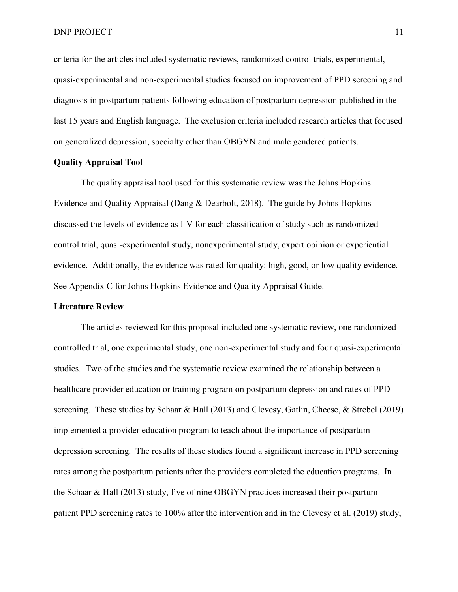criteria for the articles included systematic reviews, randomized control trials, experimental, quasi-experimental and non-experimental studies focused on improvement of PPD screening and diagnosis in postpartum patients following education of postpartum depression published in the last 15 years and English language. The exclusion criteria included research articles that focused on generalized depression, specialty other than OBGYN and male gendered patients.

# **Quality Appraisal Tool**

The quality appraisal tool used for this systematic review was the Johns Hopkins Evidence and Quality Appraisal (Dang & Dearbolt, 2018). The guide by Johns Hopkins discussed the levels of evidence as I-V for each classification of study such as randomized control trial, quasi-experimental study, nonexperimental study, expert opinion or experiential evidence. Additionally, the evidence was rated for quality: high, good, or low quality evidence. See Appendix C for Johns Hopkins Evidence and Quality Appraisal Guide.

### **Literature Review**

The articles reviewed for this proposal included one systematic review, one randomized controlled trial, one experimental study, one non-experimental study and four quasi-experimental studies. Two of the studies and the systematic review examined the relationship between a healthcare provider education or training program on postpartum depression and rates of PPD screening. These studies by Schaar & Hall (2013) and Clevesy, Gatlin, Cheese, & Strebel (2019) implemented a provider education program to teach about the importance of postpartum depression screening. The results of these studies found a significant increase in PPD screening rates among the postpartum patients after the providers completed the education programs. In the Schaar & Hall (2013) study, five of nine OBGYN practices increased their postpartum patient PPD screening rates to 100% after the intervention and in the Clevesy et al. (2019) study,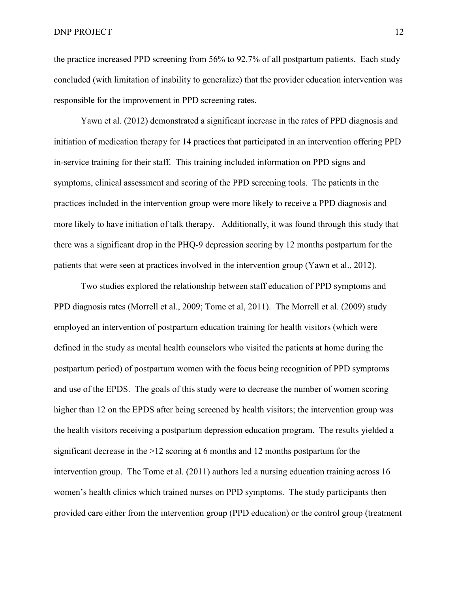the practice increased PPD screening from 56% to 92.7% of all postpartum patients. Each study concluded (with limitation of inability to generalize) that the provider education intervention was responsible for the improvement in PPD screening rates.

Yawn et al. (2012) demonstrated a significant increase in the rates of PPD diagnosis and initiation of medication therapy for 14 practices that participated in an intervention offering PPD in-service training for their staff. This training included information on PPD signs and symptoms, clinical assessment and scoring of the PPD screening tools. The patients in the practices included in the intervention group were more likely to receive a PPD diagnosis and more likely to have initiation of talk therapy. Additionally, it was found through this study that there was a significant drop in the PHQ-9 depression scoring by 12 months postpartum for the patients that were seen at practices involved in the intervention group (Yawn et al., 2012).

Two studies explored the relationship between staff education of PPD symptoms and PPD diagnosis rates (Morrell et al., 2009; Tome et al, 2011). The Morrell et al. (2009) study employed an intervention of postpartum education training for health visitors (which were defined in the study as mental health counselors who visited the patients at home during the postpartum period) of postpartum women with the focus being recognition of PPD symptoms and use of the EPDS. The goals of this study were to decrease the number of women scoring higher than 12 on the EPDS after being screened by health visitors; the intervention group was the health visitors receiving a postpartum depression education program. The results yielded a significant decrease in the >12 scoring at 6 months and 12 months postpartum for the intervention group. The Tome et al. (2011) authors led a nursing education training across 16 women's health clinics which trained nurses on PPD symptoms. The study participants then provided care either from the intervention group (PPD education) or the control group (treatment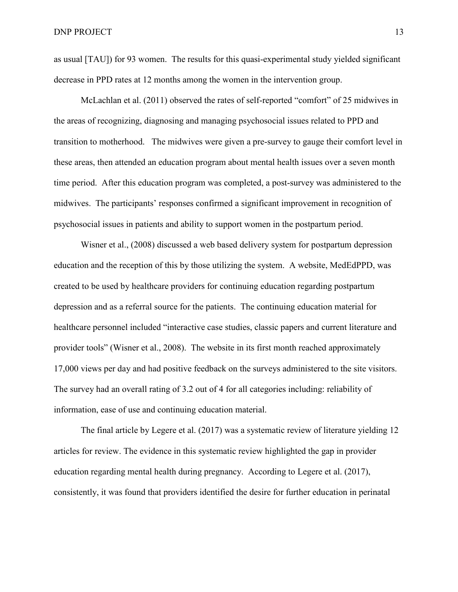as usual [TAU]) for 93 women. The results for this quasi-experimental study yielded significant decrease in PPD rates at 12 months among the women in the intervention group.

McLachlan et al. (2011) observed the rates of self-reported "comfort" of 25 midwives in the areas of recognizing, diagnosing and managing psychosocial issues related to PPD and transition to motherhood. The midwives were given a pre-survey to gauge their comfort level in these areas, then attended an education program about mental health issues over a seven month time period. After this education program was completed, a post-survey was administered to the midwives. The participants' responses confirmed a significant improvement in recognition of psychosocial issues in patients and ability to support women in the postpartum period.

Wisner et al., (2008) discussed a web based delivery system for postpartum depression education and the reception of this by those utilizing the system. A website, MedEdPPD, was created to be used by healthcare providers for continuing education regarding postpartum depression and as a referral source for the patients. The continuing education material for healthcare personnel included "interactive case studies, classic papers and current literature and provider tools" (Wisner et al., 2008). The website in its first month reached approximately 17,000 views per day and had positive feedback on the surveys administered to the site visitors. The survey had an overall rating of 3.2 out of 4 for all categories including: reliability of information, ease of use and continuing education material.

The final article by Legere et al. (2017) was a systematic review of literature yielding 12 articles for review. The evidence in this systematic review highlighted the gap in provider education regarding mental health during pregnancy. According to Legere et al. (2017), consistently, it was found that providers identified the desire for further education in perinatal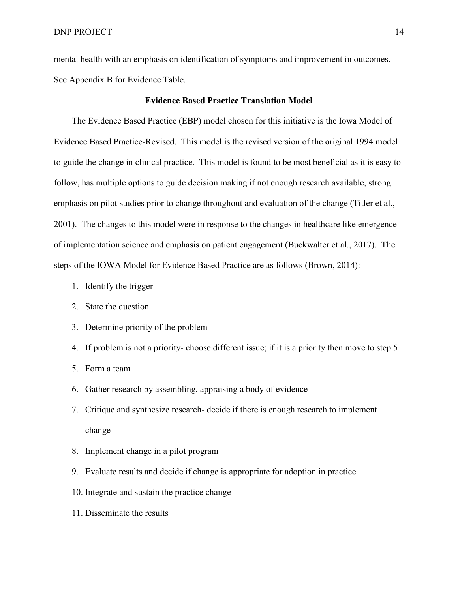mental health with an emphasis on identification of symptoms and improvement in outcomes. See Appendix B for Evidence Table.

# **Evidence Based Practice Translation Model**

<span id="page-14-0"></span>The Evidence Based Practice (EBP) model chosen for this initiative is the Iowa Model of Evidence Based Practice-Revised. This model is the revised version of the original 1994 model to guide the change in clinical practice. This model is found to be most beneficial as it is easy to follow, has multiple options to guide decision making if not enough research available, strong emphasis on pilot studies prior to change throughout and evaluation of the change (Titler et al., 2001). The changes to this model were in response to the changes in healthcare like emergence of implementation science and emphasis on patient engagement (Buckwalter et al., 2017). The steps of the IOWA Model for Evidence Based Practice are as follows (Brown, 2014):

- 1. Identify the trigger
- 2. State the question
- 3. Determine priority of the problem
- 4. If problem is not a priority- choose different issue; if it is a priority then move to step 5
- 5. Form a team
- 6. Gather research by assembling, appraising a body of evidence
- 7. Critique and synthesize research- decide if there is enough research to implement change
- 8. Implement change in a pilot program
- 9. Evaluate results and decide if change is appropriate for adoption in practice
- 10. Integrate and sustain the practice change
- 11. Disseminate the results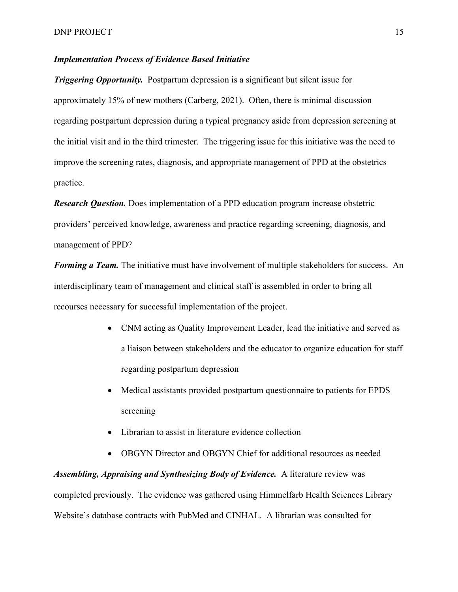# <span id="page-15-0"></span>*Implementation Process of Evidence Based Initiative*

*Triggering Opportunity.* Postpartum depression is a significant but silent issue for approximately 15% of new mothers (Carberg, 2021). Often, there is minimal discussion regarding postpartum depression during a typical pregnancy aside from depression screening at the initial visit and in the third trimester. The triggering issue for this initiative was the need to improve the screening rates, diagnosis, and appropriate management of PPD at the obstetrics practice.

*Research Question.* Does implementation of a PPD education program increase obstetric providers' perceived knowledge, awareness and practice regarding screening, diagnosis, and management of PPD?

*Forming a Team.* The initiative must have involvement of multiple stakeholders for success. An interdisciplinary team of management and clinical staff is assembled in order to bring all recourses necessary for successful implementation of the project.

- CNM acting as Quality Improvement Leader, lead the initiative and served as a liaison between stakeholders and the educator to organize education for staff regarding postpartum depression
- Medical assistants provided postpartum questionnaire to patients for EPDS screening
- Librarian to assist in literature evidence collection
- OBGYN Director and OBGYN Chief for additional resources as needed

*Assembling, Appraising and Synthesizing Body of Evidence.* A literature review was completed previously. The evidence was gathered using Himmelfarb Health Sciences Library Website's database contracts with PubMed and CINHAL. A librarian was consulted for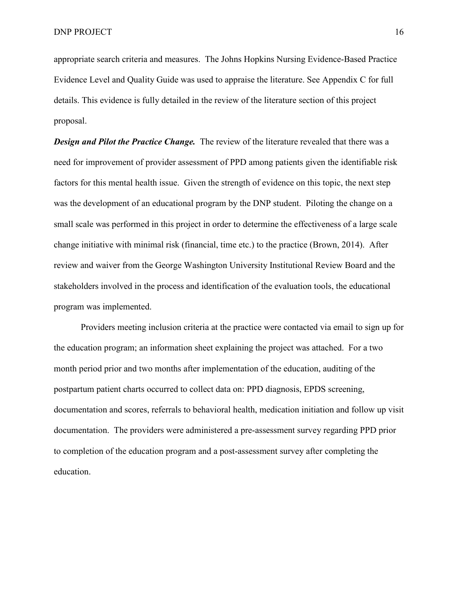appropriate search criteria and measures. The Johns Hopkins Nursing Evidence-Based Practice Evidence Level and Quality Guide was used to appraise the literature. See Appendix C for full details. This evidence is fully detailed in the review of the literature section of this project proposal.

*Design and Pilot the Practice Change.* The review of the literature revealed that there was a need for improvement of provider assessment of PPD among patients given the identifiable risk factors for this mental health issue. Given the strength of evidence on this topic, the next step was the development of an educational program by the DNP student. Piloting the change on a small scale was performed in this project in order to determine the effectiveness of a large scale change initiative with minimal risk (financial, time etc.) to the practice (Brown, 2014). After review and waiver from the George Washington University Institutional Review Board and the stakeholders involved in the process and identification of the evaluation tools, the educational program was implemented.

Providers meeting inclusion criteria at the practice were contacted via email to sign up for the education program; an information sheet explaining the project was attached. For a two month period prior and two months after implementation of the education, auditing of the postpartum patient charts occurred to collect data on: PPD diagnosis, EPDS screening, documentation and scores, referrals to behavioral health, medication initiation and follow up visit documentation. The providers were administered a pre-assessment survey regarding PPD prior to completion of the education program and a post-assessment survey after completing the education.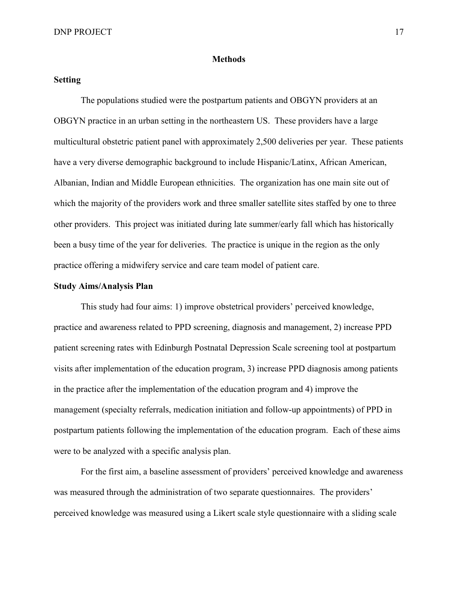### **Methods**

## <span id="page-17-1"></span><span id="page-17-0"></span>**Setting**

The populations studied were the postpartum patients and OBGYN providers at an OBGYN practice in an urban setting in the northeastern US. These providers have a large multicultural obstetric patient panel with approximately 2,500 deliveries per year. These patients have a very diverse demographic background to include Hispanic/Latinx, African American, Albanian, Indian and Middle European ethnicities. The organization has one main site out of which the majority of the providers work and three smaller satellite sites staffed by one to three other providers. This project was initiated during late summer/early fall which has historically been a busy time of the year for deliveries. The practice is unique in the region as the only practice offering a midwifery service and care team model of patient care.

### <span id="page-17-2"></span>**Study Aims/Analysis Plan**

This study had four aims: 1) improve obstetrical providers' perceived knowledge, practice and awareness related to PPD screening, diagnosis and management, 2) increase PPD patient screening rates with Edinburgh Postnatal Depression Scale screening tool at postpartum visits after implementation of the education program, 3) increase PPD diagnosis among patients in the practice after the implementation of the education program and 4) improve the management (specialty referrals, medication initiation and follow-up appointments) of PPD in postpartum patients following the implementation of the education program. Each of these aims were to be analyzed with a specific analysis plan.

For the first aim, a baseline assessment of providers' perceived knowledge and awareness was measured through the administration of two separate questionnaires. The providers' perceived knowledge was measured using a Likert scale style questionnaire with a sliding scale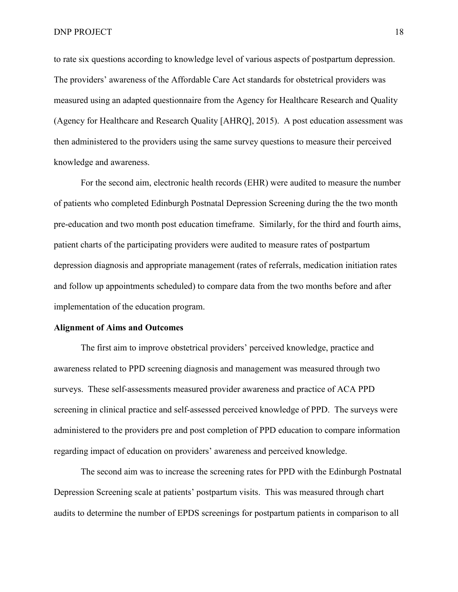to rate six questions according to knowledge level of various aspects of postpartum depression. The providers' awareness of the Affordable Care Act standards for obstetrical providers was measured using an adapted questionnaire from the Agency for Healthcare Research and Quality (Agency for Healthcare and Research Quality [AHRQ], 2015). A post education assessment was then administered to the providers using the same survey questions to measure their perceived knowledge and awareness.

For the second aim, electronic health records (EHR) were audited to measure the number of patients who completed Edinburgh Postnatal Depression Screening during the the two month pre-education and two month post education timeframe. Similarly, for the third and fourth aims, patient charts of the participating providers were audited to measure rates of postpartum depression diagnosis and appropriate management (rates of referrals, medication initiation rates and follow up appointments scheduled) to compare data from the two months before and after implementation of the education program.

### <span id="page-18-0"></span>**Alignment of Aims and Outcomes**

The first aim to improve obstetrical providers' perceived knowledge, practice and awareness related to PPD screening diagnosis and management was measured through two surveys. These self-assessments measured provider awareness and practice of ACA PPD screening in clinical practice and self-assessed perceived knowledge of PPD. The surveys were administered to the providers pre and post completion of PPD education to compare information regarding impact of education on providers' awareness and perceived knowledge.

The second aim was to increase the screening rates for PPD with the Edinburgh Postnatal Depression Screening scale at patients' postpartum visits. This was measured through chart audits to determine the number of EPDS screenings for postpartum patients in comparison to all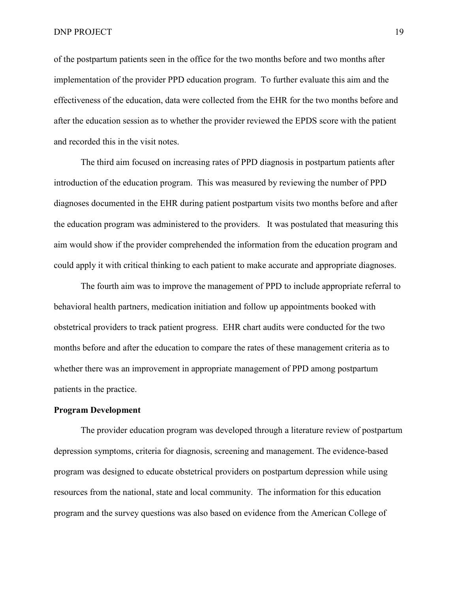of the postpartum patients seen in the office for the two months before and two months after implementation of the provider PPD education program. To further evaluate this aim and the effectiveness of the education, data were collected from the EHR for the two months before and after the education session as to whether the provider reviewed the EPDS score with the patient and recorded this in the visit notes.

The third aim focused on increasing rates of PPD diagnosis in postpartum patients after introduction of the education program. This was measured by reviewing the number of PPD diagnoses documented in the EHR during patient postpartum visits two months before and after the education program was administered to the providers. It was postulated that measuring this aim would show if the provider comprehended the information from the education program and could apply it with critical thinking to each patient to make accurate and appropriate diagnoses.

The fourth aim was to improve the management of PPD to include appropriate referral to behavioral health partners, medication initiation and follow up appointments booked with obstetrical providers to track patient progress. EHR chart audits were conducted for the two months before and after the education to compare the rates of these management criteria as to whether there was an improvement in appropriate management of PPD among postpartum patients in the practice.

### <span id="page-19-0"></span>**Program Development**

The provider education program was developed through a literature review of postpartum depression symptoms, criteria for diagnosis, screening and management. The evidence-based program was designed to educate obstetrical providers on postpartum depression while using resources from the national, state and local community. The information for this education program and the survey questions was also based on evidence from the American College of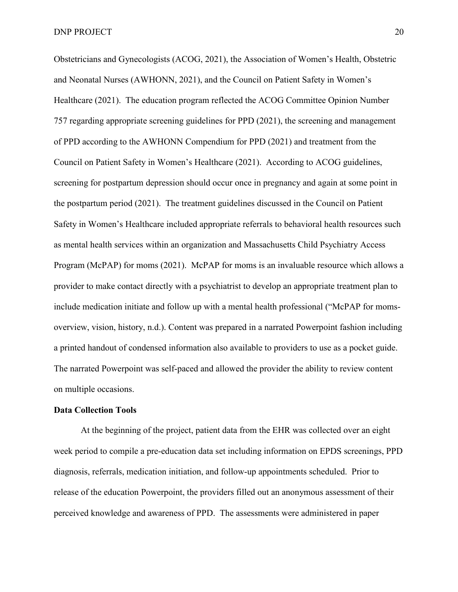Obstetricians and Gynecologists (ACOG, 2021), the Association of Women's Health, Obstetric and Neonatal Nurses (AWHONN, 2021), and the Council on Patient Safety in Women's Healthcare (2021). The education program reflected the ACOG Committee Opinion Number 757 regarding appropriate screening guidelines for PPD (2021), the screening and management of PPD according to the AWHONN Compendium for PPD (2021) and treatment from the Council on Patient Safety in Women's Healthcare (2021). According to ACOG guidelines, screening for postpartum depression should occur once in pregnancy and again at some point in the postpartum period (2021). The treatment guidelines discussed in the Council on Patient Safety in Women's Healthcare included appropriate referrals to behavioral health resources such as mental health services within an organization and Massachusetts Child Psychiatry Access Program (McPAP) for moms (2021). McPAP for moms is an invaluable resource which allows a provider to make contact directly with a psychiatrist to develop an appropriate treatment plan to include medication initiate and follow up with a mental health professional ("McPAP for momsoverview, vision, history, n.d.). Content was prepared in a narrated Powerpoint fashion including a printed handout of condensed information also available to providers to use as a pocket guide. The narrated Powerpoint was self-paced and allowed the provider the ability to review content on multiple occasions.

### <span id="page-20-0"></span>**Data Collection Tools**

At the beginning of the project, patient data from the EHR was collected over an eight week period to compile a pre-education data set including information on EPDS screenings, PPD diagnosis, referrals, medication initiation, and follow-up appointments scheduled. Prior to release of the education Powerpoint, the providers filled out an anonymous assessment of their perceived knowledge and awareness of PPD. The assessments were administered in paper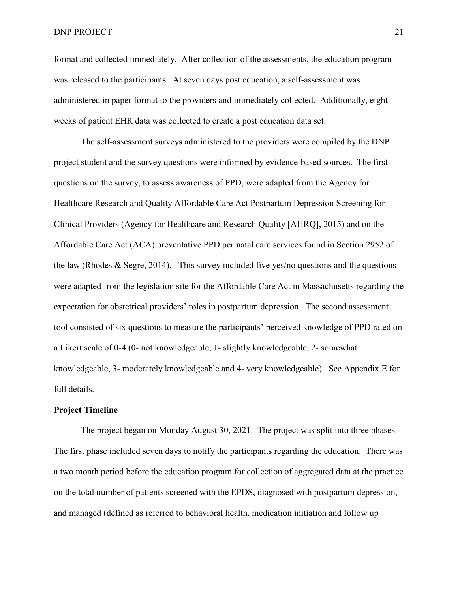#### DNP PROJECT 21

format and collected immediately. After collection of the assessments, the education program was released to the participants. At seven days post education, a self-assessment was administered in paper format to the providers and immediately collected. Additionally, eight weeks of patient EHR data was collected to create a post education data set.

The self-assessment surveys administered to the providers were compiled by the DNP project student and the survey questions were informed by evidence-based sources. The first questions on the survey, to assess awareness of PPD, were adapted from the Agency for Healthcare Research and Quality Affordable Care Act Postpartum Depression Screening for Clinical Providers (Agency for Healthcare and Research Quality [AHRQ], 2015) and on the Affordable Care Act (ACA) preventative PPD perinatal care services found in Section 2952 of the law (Rhodes & Segre, 2014). This survey included five yes/no questions and the questions were adapted from the legislation site for the Affordable Care Act in Massachusetts regarding the expectation for obstetrical providers' roles in postpartum depression. The second assessment tool consisted of six questions to measure the participants' perceived knowledge of PPD rated on a Likert scale of 0-4 (0- not knowledgeable, 1- slightly knowledgeable, 2- somewhat knowledgeable, 3- moderately knowledgeable and 4- very knowledgeable). See Appendix E for full details.

## <span id="page-21-0"></span>**Project Timeline**

The project began on Monday August 30, 2021. The project was split into three phases. The first phase included seven days to notify the participants regarding the education. There was a two month period before the education program for collection of aggregated data at the practice on the total number of patients screened with the EPDS, diagnosed with postpartum depression, and managed (defined as referred to behavioral health, medication initiation and follow up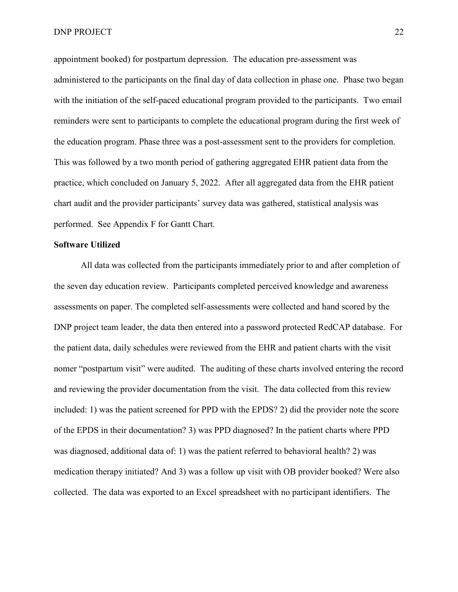appointment booked) for postpartum depression. The education pre-assessment was administered to the participants on the final day of data collection in phase one. Phase two began with the initiation of the self-paced educational program provided to the participants. Two email reminders were sent to participants to complete the educational program during the first week of the education program. Phase three was a post-assessment sent to the providers for completion. This was followed by a two month period of gathering aggregated EHR patient data from the practice, which concluded on January 5, 2022. After all aggregated data from the EHR patient chart audit and the provider participants' survey data was gathered, statistical analysis was performed. See Appendix F for Gantt Chart.

#### <span id="page-22-0"></span>**Software Utilized**

All data was collected from the participants immediately prior to and after completion of the seven day education review. Participants completed perceived knowledge and awareness assessments on paper. The completed self-assessments were collected and hand scored by the DNP project team leader, the data then entered into a password protected RedCAP database. For the patient data, daily schedules were reviewed from the EHR and patient charts with the visit nomer "postpartum visit" were audited. The auditing of these charts involved entering the record and reviewing the provider documentation from the visit. The data collected from this review included: 1) was the patient screened for PPD with the EPDS? 2) did the provider note the score of the EPDS in their documentation? 3) was PPD diagnosed? In the patient charts where PPD was diagnosed, additional data of: 1) was the patient referred to behavioral health? 2) was medication therapy initiated? And 3) was a follow up visit with OB provider booked? Were also collected. The data was exported to an Excel spreadsheet with no participant identifiers. The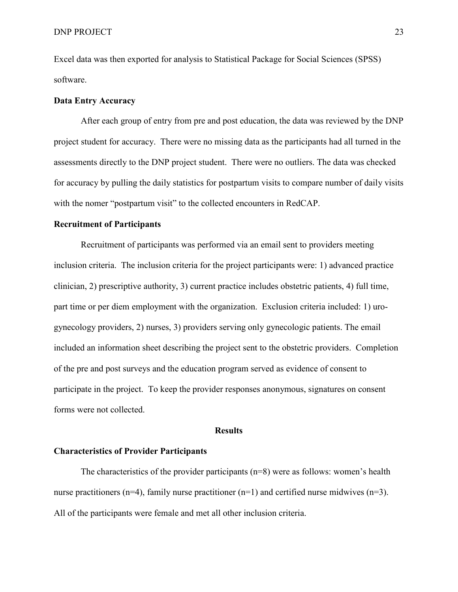Excel data was then exported for analysis to Statistical Package for Social Sciences (SPSS) software.

## <span id="page-23-0"></span>**Data Entry Accuracy**

After each group of entry from pre and post education, the data was reviewed by the DNP project student for accuracy. There were no missing data as the participants had all turned in the assessments directly to the DNP project student. There were no outliers. The data was checked for accuracy by pulling the daily statistics for postpartum visits to compare number of daily visits with the nomer "postpartum visit" to the collected encounters in RedCAP.

# <span id="page-23-1"></span>**Recruitment of Participants**

Recruitment of participants was performed via an email sent to providers meeting inclusion criteria. The inclusion criteria for the project participants were: 1) advanced practice clinician, 2) prescriptive authority, 3) current practice includes obstetric patients, 4) full time, part time or per diem employment with the organization. Exclusion criteria included: 1) urogynecology providers, 2) nurses, 3) providers serving only gynecologic patients. The email included an information sheet describing the project sent to the obstetric providers. Completion of the pre and post surveys and the education program served as evidence of consent to participate in the project. To keep the provider responses anonymous, signatures on consent forms were not collected.

#### **Results**

### <span id="page-23-3"></span><span id="page-23-2"></span>**Characteristics of Provider Participants**

The characteristics of the provider participants  $(n=8)$  were as follows: women's health nurse practitioners (n=4), family nurse practitioner (n=1) and certified nurse midwives (n=3). All of the participants were female and met all other inclusion criteria.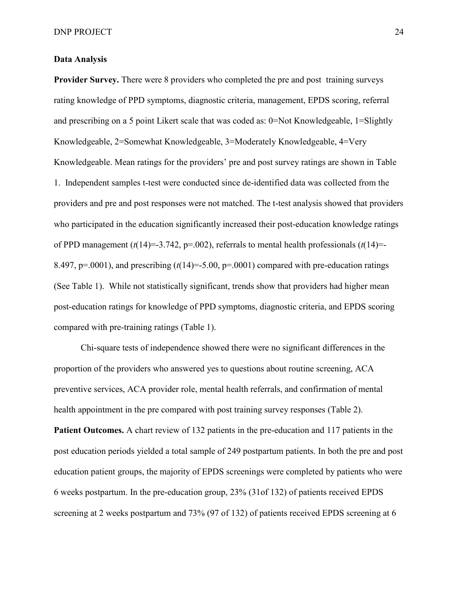# <span id="page-24-0"></span>**Data Analysis**

**Provider Survey.** There were 8 providers who completed the pre and post training surveys rating knowledge of PPD symptoms, diagnostic criteria, management, EPDS scoring, referral and prescribing on a 5 point Likert scale that was coded as: 0=Not Knowledgeable, 1=Slightly Knowledgeable, 2=Somewhat Knowledgeable, 3=Moderately Knowledgeable, 4=Very Knowledgeable. Mean ratings for the providers' pre and post survey ratings are shown in Table 1. Independent samples t-test were conducted since de-identified data was collected from the providers and pre and post responses were not matched. The t-test analysis showed that providers who participated in the education significantly increased their post-education knowledge ratings of PPD management  $(t(14)=3.742, p=.002)$ , referrals to mental health professionals  $(t(14)=$ 8.497,  $p=.0001$ ), and prescribing  $(t(14)=5.00, p=.0001)$  compared with pre-education ratings (See Table 1). While not statistically significant, trends show that providers had higher mean post-education ratings for knowledge of PPD symptoms, diagnostic criteria, and EPDS scoring compared with pre-training ratings (Table 1).

Chi-square tests of independence showed there were no significant differences in the proportion of the providers who answered yes to questions about routine screening, ACA preventive services, ACA provider role, mental health referrals, and confirmation of mental health appointment in the pre compared with post training survey responses (Table 2). **Patient Outcomes.** A chart review of 132 patients in the pre-education and 117 patients in the post education periods yielded a total sample of 249 postpartum patients. In both the pre and post education patient groups, the majority of EPDS screenings were completed by patients who were 6 weeks postpartum. In the pre-education group, 23% (31of 132) of patients received EPDS screening at 2 weeks postpartum and 73% (97 of 132) of patients received EPDS screening at 6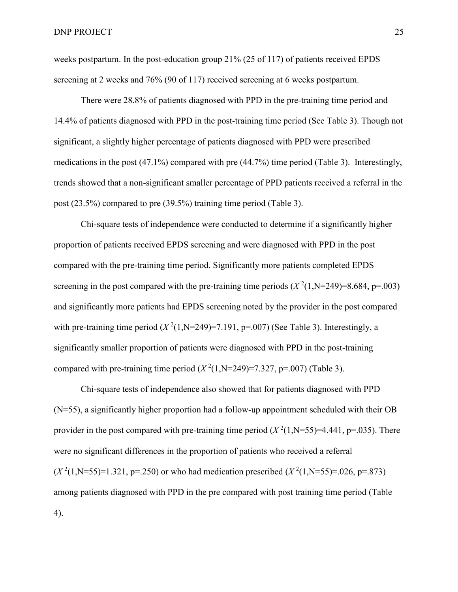weeks postpartum. In the post-education group 21% (25 of 117) of patients received EPDS screening at 2 weeks and 76% (90 of 117) received screening at 6 weeks postpartum.

There were 28.8% of patients diagnosed with PPD in the pre-training time period and 14.4% of patients diagnosed with PPD in the post-training time period (See Table 3). Though not significant, a slightly higher percentage of patients diagnosed with PPD were prescribed medications in the post (47.1%) compared with pre (44.7%) time period (Table 3). Interestingly, trends showed that a non-significant smaller percentage of PPD patients received a referral in the post (23.5%) compared to pre (39.5%) training time period (Table 3).

Chi-square tests of independence were conducted to determine if a significantly higher proportion of patients received EPDS screening and were diagnosed with PPD in the post compared with the pre-training time period. Significantly more patients completed EPDS screening in the post compared with the pre-training time periods  $(X^2(1, N=249)=8.684, p=.003)$ and significantly more patients had EPDS screening noted by the provider in the post compared with pre-training time period  $(X^2(1, N=249)=7.191$ , p=.007) (See Table 3). Interestingly, a significantly smaller proportion of patients were diagnosed with PPD in the post-training compared with pre-training time period  $(X^2(1, N=249)=7.327, p=.007)$  (Table 3).

Chi-square tests of independence also showed that for patients diagnosed with PPD (N=55), a significantly higher proportion had a follow-up appointment scheduled with their OB provider in the post compared with pre-training time period  $(X^2(1, N=55)=4.441, p=.035)$ . There were no significant differences in the proportion of patients who received a referral  $(X^2(1, N=55)=1.321, p=.250)$  or who had medication prescribed  $(X^2(1, N=55)=0.026, p=.873)$ among patients diagnosed with PPD in the pre compared with post training time period (Table 4).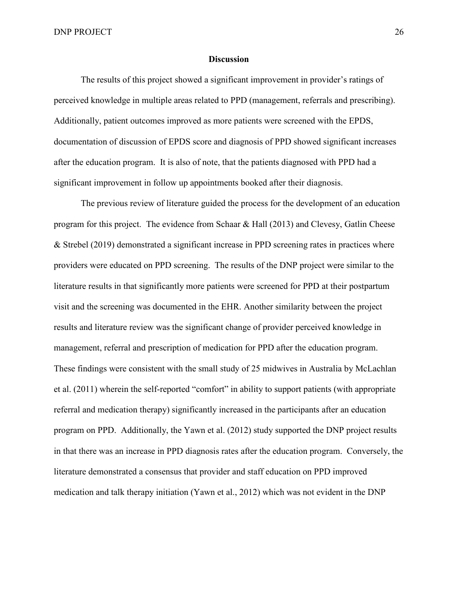### **Discussion**

The results of this project showed a significant improvement in provider's ratings of perceived knowledge in multiple areas related to PPD (management, referrals and prescribing). Additionally, patient outcomes improved as more patients were screened with the EPDS, documentation of discussion of EPDS score and diagnosis of PPD showed significant increases after the education program. It is also of note, that the patients diagnosed with PPD had a significant improvement in follow up appointments booked after their diagnosis.

The previous review of literature guided the process for the development of an education program for this project. The evidence from Schaar & Hall  $(2013)$  and Clevesy, Gatlin Cheese & Strebel (2019) demonstrated a significant increase in PPD screening rates in practices where providers were educated on PPD screening. The results of the DNP project were similar to the literature results in that significantly more patients were screened for PPD at their postpartum visit and the screening was documented in the EHR. Another similarity between the project results and literature review was the significant change of provider perceived knowledge in management, referral and prescription of medication for PPD after the education program. These findings were consistent with the small study of 25 midwives in Australia by McLachlan et al. (2011) wherein the self-reported "comfort" in ability to support patients (with appropriate referral and medication therapy) significantly increased in the participants after an education program on PPD. Additionally, the Yawn et al. (2012) study supported the DNP project results in that there was an increase in PPD diagnosis rates after the education program. Conversely, the literature demonstrated a consensus that provider and staff education on PPD improved medication and talk therapy initiation (Yawn et al., 2012) which was not evident in the DNP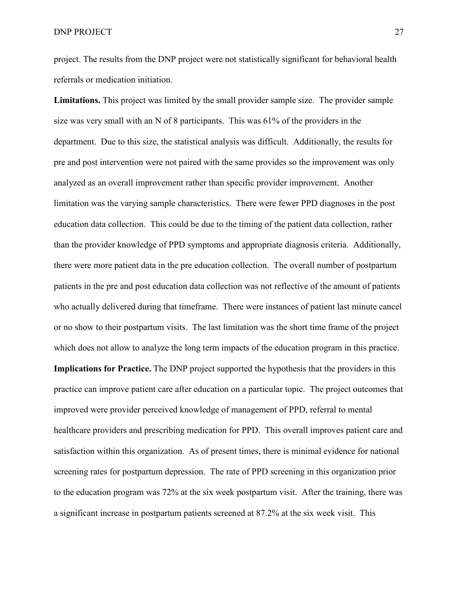project. The results from the DNP project were not statistically significant for behavioral health referrals or medication initiation.

**Limitations.** This project was limited by the small provider sample size. The provider sample size was very small with an N of 8 participants. This was 61% of the providers in the department. Due to this size, the statistical analysis was difficult. Additionally, the results for pre and post intervention were not paired with the same provides so the improvement was only analyzed as an overall improvement rather than specific provider improvement. Another limitation was the varying sample characteristics. There were fewer PPD diagnoses in the post education data collection. This could be due to the timing of the patient data collection, rather than the provider knowledge of PPD symptoms and appropriate diagnosis criteria. Additionally, there were more patient data in the pre education collection. The overall number of postpartum patients in the pre and post education data collection was not reflective of the amount of patients who actually delivered during that timeframe. There were instances of patient last minute cancel or no show to their postpartum visits. The last limitation was the short time frame of the project which does not allow to analyze the long term impacts of the education program in this practice. **Implications for Practice.** The DNP project supported the hypothesis that the providers in this practice can improve patient care after education on a particular topic. The project outcomes that improved were provider perceived knowledge of management of PPD, referral to mental healthcare providers and prescribing medication for PPD. This overall improves patient care and satisfaction within this organization. As of present times, there is minimal evidence for national screening rates for postpartum depression. The rate of PPD screening in this organization prior to the education program was 72% at the six week postpartum visit. After the training, there was a significant increase in postpartum patients screened at 87.2% at the six week visit. This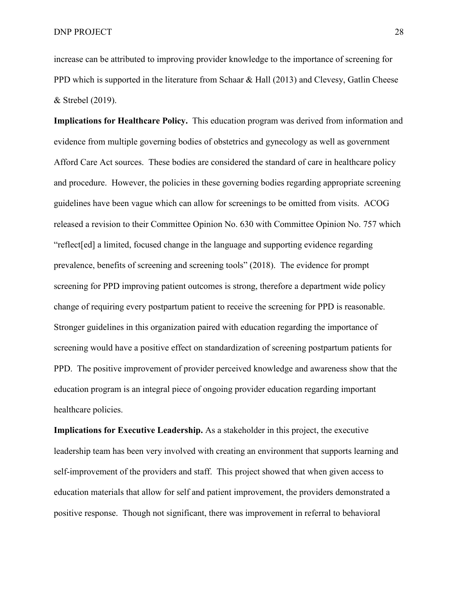increase can be attributed to improving provider knowledge to the importance of screening for PPD which is supported in the literature from Schaar & Hall (2013) and Clevesy, Gatlin Cheese & Strebel (2019).

**Implications for Healthcare Policy.** This education program was derived from information and evidence from multiple governing bodies of obstetrics and gynecology as well as government Afford Care Act sources. These bodies are considered the standard of care in healthcare policy and procedure. However, the policies in these governing bodies regarding appropriate screening guidelines have been vague which can allow for screenings to be omitted from visits. ACOG released a revision to their Committee Opinion No. 630 with Committee Opinion No. 757 which "reflect[ed] a limited, focused change in the language and supporting evidence regarding prevalence, benefits of screening and screening tools" (2018). The evidence for prompt screening for PPD improving patient outcomes is strong, therefore a department wide policy change of requiring every postpartum patient to receive the screening for PPD is reasonable. Stronger guidelines in this organization paired with education regarding the importance of screening would have a positive effect on standardization of screening postpartum patients for PPD. The positive improvement of provider perceived knowledge and awareness show that the education program is an integral piece of ongoing provider education regarding important healthcare policies.

**Implications for Executive Leadership.** As a stakeholder in this project, the executive leadership team has been very involved with creating an environment that supports learning and self-improvement of the providers and staff. This project showed that when given access to education materials that allow for self and patient improvement, the providers demonstrated a positive response. Though not significant, there was improvement in referral to behavioral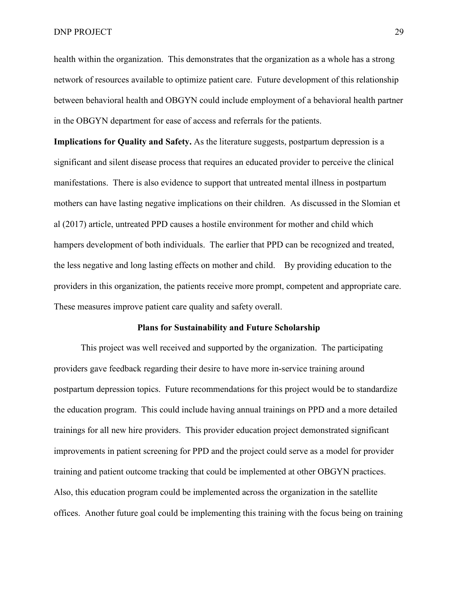DNP PROJECT 29

health within the organization. This demonstrates that the organization as a whole has a strong network of resources available to optimize patient care. Future development of this relationship between behavioral health and OBGYN could include employment of a behavioral health partner in the OBGYN department for ease of access and referrals for the patients.

**Implications for Quality and Safety.** As the literature suggests, postpartum depression is a significant and silent disease process that requires an educated provider to perceive the clinical manifestations. There is also evidence to support that untreated mental illness in postpartum mothers can have lasting negative implications on their children. As discussed in the Slomian et al (2017) article, untreated PPD causes a hostile environment for mother and child which hampers development of both individuals. The earlier that PPD can be recognized and treated, the less negative and long lasting effects on mother and child. By providing education to the providers in this organization, the patients receive more prompt, competent and appropriate care. These measures improve patient care quality and safety overall.

### **Plans for Sustainability and Future Scholarship**

This project was well received and supported by the organization. The participating providers gave feedback regarding their desire to have more in-service training around postpartum depression topics. Future recommendations for this project would be to standardize the education program. This could include having annual trainings on PPD and a more detailed trainings for all new hire providers. This provider education project demonstrated significant improvements in patient screening for PPD and the project could serve as a model for provider training and patient outcome tracking that could be implemented at other OBGYN practices. Also, this education program could be implemented across the organization in the satellite offices. Another future goal could be implementing this training with the focus being on training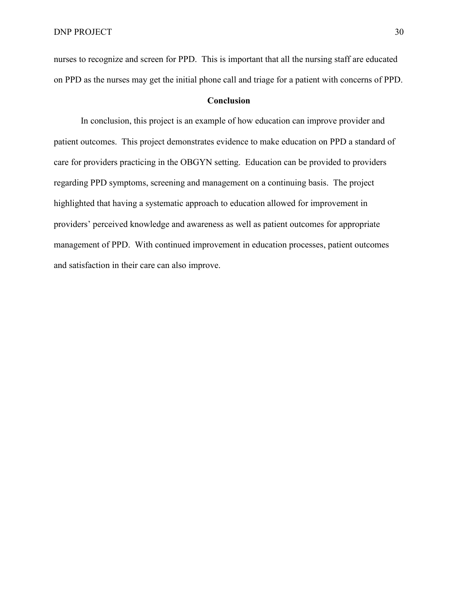nurses to recognize and screen for PPD. This is important that all the nursing staff are educated on PPD as the nurses may get the initial phone call and triage for a patient with concerns of PPD.

## **Conclusion**

In conclusion, this project is an example of how education can improve provider and patient outcomes. This project demonstrates evidence to make education on PPD a standard of care for providers practicing in the OBGYN setting. Education can be provided to providers regarding PPD symptoms, screening and management on a continuing basis. The project highlighted that having a systematic approach to education allowed for improvement in providers' perceived knowledge and awareness as well as patient outcomes for appropriate management of PPD. With continued improvement in education processes, patient outcomes and satisfaction in their care can also improve.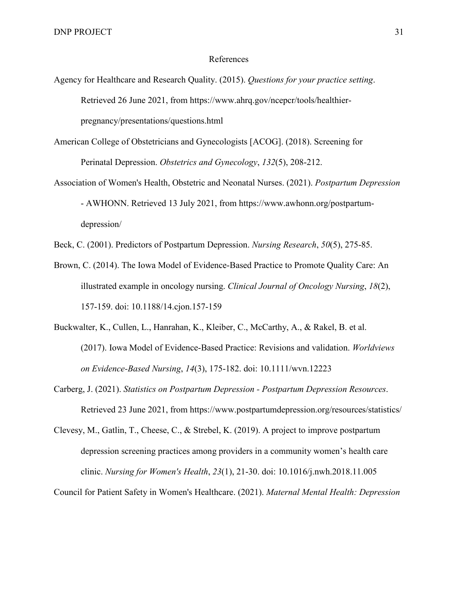### <span id="page-31-0"></span>References

- Agency for Healthcare and Research Quality. (2015). *Questions for your practice setting*. Retrieved 26 June 2021, from https://www.ahrq.gov/ncepcr/tools/healthierpregnancy/presentations/questions.html
- American College of Obstetricians and Gynecologists [ACOG]. (2018). Screening for Perinatal Depression. *Obstetrics and Gynecology*, *132*(5), 208-212.
- Association of Women's Health, Obstetric and Neonatal Nurses. (2021). *Postpartum Depression* - AWHONN. Retrieved 13 July 2021, from https://www.awhonn.org/postpartumdepression/
- Beck, C. (2001). Predictors of Postpartum Depression. *Nursing Research*, *50*(5), 275-85.
- Brown, C. (2014). The Iowa Model of Evidence-Based Practice to Promote Quality Care: An illustrated example in oncology nursing. *Clinical Journal of Oncology Nursing*, *18*(2), 157-159. doi: 10.1188/14.cjon.157-159
- Buckwalter, K., Cullen, L., Hanrahan, K., Kleiber, C., McCarthy, A., & Rakel, B. et al. (2017). Iowa Model of Evidence-Based Practice: Revisions and validation. *Worldviews on Evidence-Based Nursing*, *14*(3), 175-182. doi: 10.1111/wvn.12223
- Carberg, J. (2021). *Statistics on Postpartum Depression - Postpartum Depression Resources*. Retrieved 23 June 2021, from https://www.postpartumdepression.org/resources/statistics/
- Clevesy, M., Gatlin, T., Cheese, C., & Strebel, K. (2019). A project to improve postpartum depression screening practices among providers in a community women's health care clinic. *Nursing for Women's Health*, *23*(1), 21-30. doi: 10.1016/j.nwh.2018.11.005

Council for Patient Safety in Women's Healthcare. (2021). *Maternal Mental Health: Depression*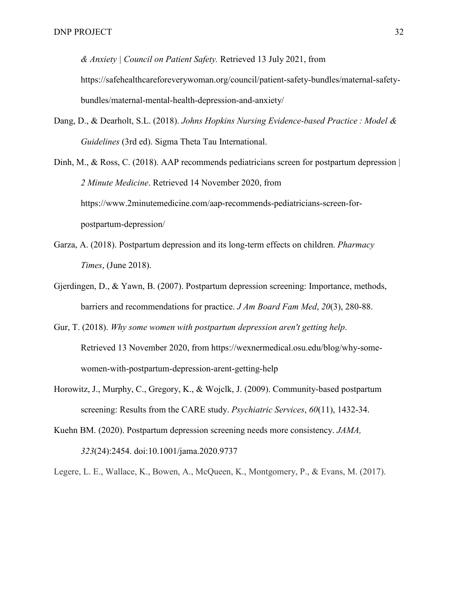*& Anxiety | Council on Patient Safety.* Retrieved 13 July 2021, from https://safehealthcareforeverywoman.org/council/patient-safety-bundles/maternal-safetybundles/maternal-mental-health-depression-and-anxiety/

Dang, D., & Dearholt, S.L. (2018). *Johns Hopkins Nursing Evidence-based Practice : Model & Guidelines* (3rd ed). Sigma Theta Tau International.

Dinh, M., & Ross, C. (2018). AAP recommends pediatricians screen for postpartum depression | *2 Minute Medicine*. Retrieved 14 November 2020, from https://www.2minutemedicine.com/aap-recommends-pediatricians-screen-forpostpartum-depression/

- Garza, A. (2018). Postpartum depression and its long-term effects on children. *Pharmacy Times*, (June 2018).
- Gjerdingen, D., & Yawn, B. (2007). Postpartum depression screening: Importance, methods, barriers and recommendations for practice. *J Am Board Fam Med*, *20*(3), 280-88.
- Gur, T. (2018). *Why some women with postpartum depression aren't getting help*. Retrieved 13 November 2020, from https://wexnermedical.osu.edu/blog/why-somewomen-with-postpartum-depression-arent-getting-help
- Horowitz, J., Murphy, C., Gregory, K., & Wojclk, J. (2009). Community-based postpartum screening: Results from the CARE study. *Psychiatric Services*, *60*(11), 1432-34.
- Kuehn BM. (2020). Postpartum depression screening needs more consistency. *JAMA, 323*(24):2454. doi:10.1001/jama.2020.9737

Legere, L. E., Wallace, K., Bowen, A., McQueen, K., Montgomery, P., & Evans, M. (2017).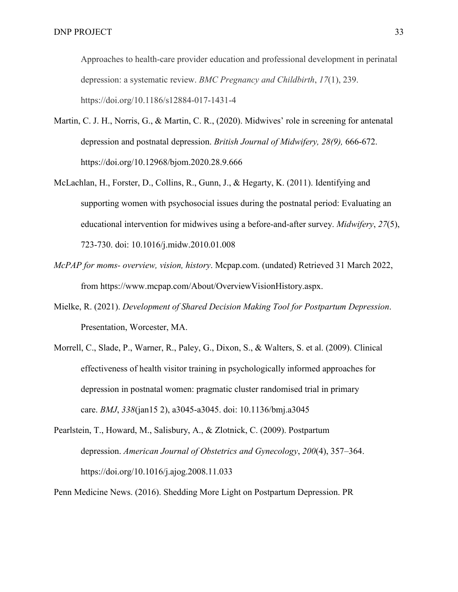Approaches to health-care provider education and professional development in perinatal depression: a systematic review. *BMC Pregnancy and Childbirth*, *17*(1), 239. https://doi.org/10.1186/s12884-017-1431-4

- Martin, C. J. H., Norris, G., & Martin, C. R., (2020). Midwives' role in screening for antenatal depression and postnatal depression. *British Journal of Midwifery, 28(9),* 666-672. https://doi.org/10.12968/bjom.2020.28.9.666
- McLachlan, H., Forster, D., Collins, R., Gunn, J., & Hegarty, K. (2011). Identifying and supporting women with psychosocial issues during the postnatal period: Evaluating an educational intervention for midwives using a before-and-after survey. *Midwifery*, *27*(5), 723-730. doi: 10.1016/j.midw.2010.01.008
- *McPAP for moms- overview, vision, history*. Mcpap.com. (undated) Retrieved 31 March 2022, from https://www.mcpap.com/About/OverviewVisionHistory.aspx.
- Mielke, R. (2021). *Development of Shared Decision Making Tool for Postpartum Depression*. Presentation, Worcester, MA.
- Morrell, C., Slade, P., Warner, R., Paley, G., Dixon, S., & Walters, S. et al. (2009). Clinical effectiveness of health visitor training in psychologically informed approaches for depression in postnatal women: pragmatic cluster randomised trial in primary care. *BMJ*, *338*(jan15 2), a3045-a3045. doi: 10.1136/bmj.a3045
- Pearlstein, T., Howard, M., Salisbury, A., & Zlotnick, C. (2009). Postpartum depression. *American Journal of Obstetrics and Gynecology*, *200*(4), 357–364. https://doi.org/10.1016/j.ajog.2008.11.033

Penn Medicine News. (2016). Shedding More Light on Postpartum Depression. PR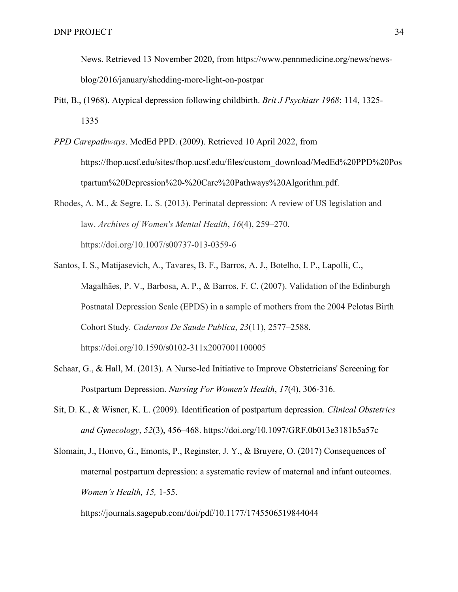News. Retrieved 13 November 2020, from https://www.pennmedicine.org/news/newsblog/2016/january/shedding-more-light-on-postpar

- Pitt, B., (1968). Atypical depression following childbirth. *Brit J Psychiatr 1968*; 114, 1325- 1335
- *PPD Carepathways*. MedEd PPD. (2009). Retrieved 10 April 2022, from https://fhop.ucsf.edu/sites/fhop.ucsf.edu/files/custom\_download/MedEd%20PPD%20Pos tpartum%20Depression%20-%20Care%20Pathways%20Algorithm.pdf.

Rhodes, A. M., & Segre, L. S. (2013). Perinatal depression: A review of US legislation and law. *Archives of Women's Mental Health*, *16*(4), 259–270. https://doi.org/10.1007/s00737-013-0359-6

- Santos, I. S., Matijasevich, A., Tavares, B. F., Barros, A. J., Botelho, I. P., Lapolli, C., Magalhães, P. V., Barbosa, A. P., & Barros, F. C. (2007). Validation of the Edinburgh Postnatal Depression Scale (EPDS) in a sample of mothers from the 2004 Pelotas Birth Cohort Study. *Cadernos De Saude Publica*, *23*(11), 2577–2588. https://doi.org/10.1590/s0102-311x2007001100005
- Schaar, G., & Hall, M. (2013). A Nurse-led Initiative to Improve Obstetricians' Screening for Postpartum Depression. *Nursing For Women's Health*, *17*(4), 306-316.
- Sit, D. K., & Wisner, K. L. (2009). Identification of postpartum depression. *Clinical Obstetrics and Gynecology*, *52*(3), 456–468. https://doi.org/10.1097/GRF.0b013e3181b5a57c
- Slomain, J., Honvo, G., Emonts, P., Reginster, J. Y., & Bruyere, O. (2017) Consequences of maternal postpartum depression: a systematic review of maternal and infant outcomes. *Women's Health, 15,* 1-55.

https://journals.sagepub.com/doi/pdf/10.1177/1745506519844044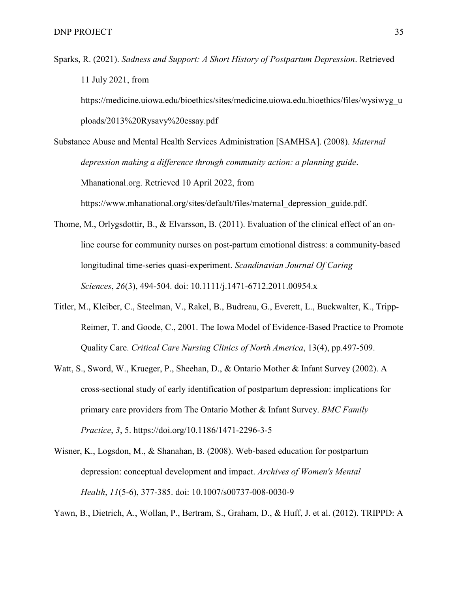Sparks, R. (2021). *Sadness and Support: A Short History of Postpartum Depression*. Retrieved 11 July 2021, from

https://medicine.uiowa.edu/bioethics/sites/medicine.uiowa.edu.bioethics/files/wysiwyg\_u ploads/2013%20Rysavy%20essay.pdf

Substance Abuse and Mental Health Services Administration [SAMHSA]. (2008). *Maternal depression making a difference through community action: a planning guide*. Mhanational.org. Retrieved 10 April 2022, from https://www.mhanational.org/sites/default/files/maternal\_depression\_guide.pdf.

- Thome, M., Orlygsdottir, B., & Elvarsson, B. (2011). Evaluation of the clinical effect of an online course for community nurses on post-partum emotional distress: a community-based longitudinal time-series quasi-experiment. *Scandinavian Journal Of Caring Sciences*, *26*(3), 494-504. doi: 10.1111/j.1471-6712.2011.00954.x
- Titler, M., Kleiber, C., Steelman, V., Rakel, B., Budreau, G., Everett, L., Buckwalter, K., Tripp-Reimer, T. and Goode, C., 2001. The Iowa Model of Evidence-Based Practice to Promote Quality Care. *Critical Care Nursing Clinics of North America*, 13(4), pp.497-509.
- Watt, S., Sword, W., Krueger, P., Sheehan, D., & Ontario Mother & Infant Survey (2002). A cross-sectional study of early identification of postpartum depression: implications for primary care providers from The Ontario Mother & Infant Survey. *BMC Family Practice*, *3*, 5. https://doi.org/10.1186/1471-2296-3-5
- Wisner, K., Logsdon, M., & Shanahan, B. (2008). Web-based education for postpartum depression: conceptual development and impact. *Archives of Women's Mental Health*, *11*(5-6), 377-385. doi: 10.1007/s00737-008-0030-9

Yawn, B., Dietrich, A., Wollan, P., Bertram, S., Graham, D., & Huff, J. et al. (2012). TRIPPD: A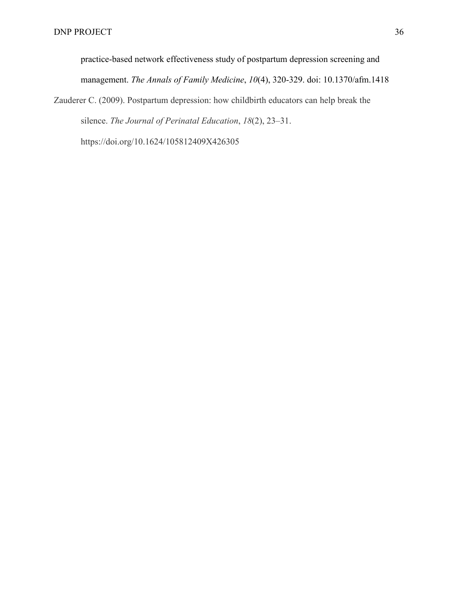practice-based network effectiveness study of postpartum depression screening and management. *The Annals of Family Medicine*, *10*(4), 320-329. doi: 10.1370/afm.1418

Zauderer C. (2009). Postpartum depression: how childbirth educators can help break the silence. *The Journal of Perinatal Education*, *18*(2), 23–31.

https://doi.org/10.1624/105812409X426305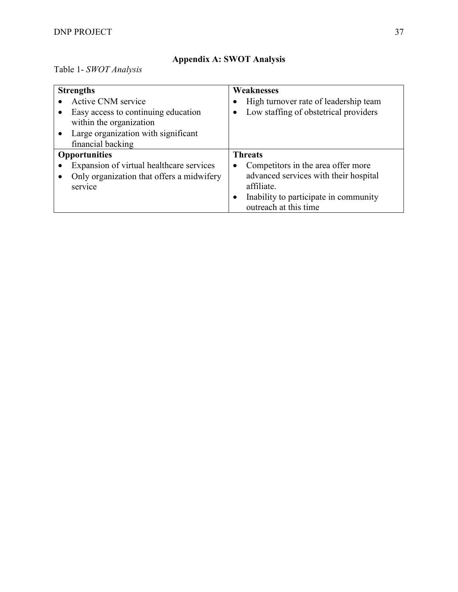# **Appendix A: SWOT Analysis**

<span id="page-37-0"></span>Table 1- *SWOT Analysis*

| <b>Strengths</b>                          |           | Weaknesses                            |
|-------------------------------------------|-----------|---------------------------------------|
| Active CNM service                        |           | High turnover rate of leadership team |
| Easy access to continuing education       |           | Low staffing of obstetrical providers |
| within the organization                   |           |                                       |
| Large organization with significant       |           |                                       |
| financial backing                         |           |                                       |
| <b>Opportunities</b>                      |           | <b>Threats</b>                        |
| Expansion of virtual healthcare services  | $\bullet$ | Competitors in the area offer more    |
| Only organization that offers a midwifery |           | advanced services with their hospital |
| service                                   |           | affiliate.                            |
|                                           |           | Inability to participate in community |
|                                           |           | outreach at this time                 |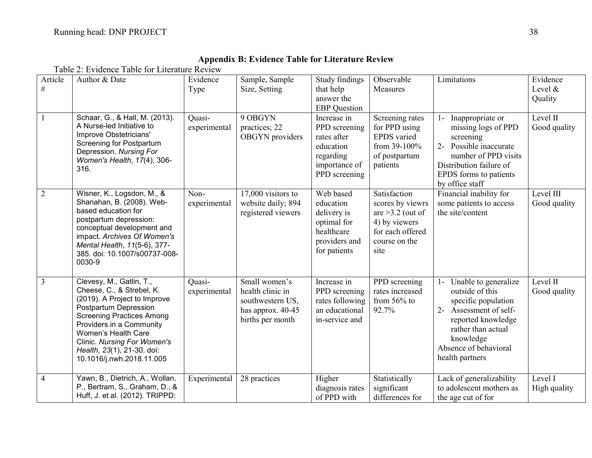<span id="page-38-0"></span>

| Article<br>$\#$ | Author & Date                                                                                                                                                                                                                                                                                   | Evidence<br>Type       | Sample, Sample<br>Size, Setting                                                                  | Study findings<br>that help<br>answer the<br><b>EBP</b> Question                                        | Observable<br><b>Measures</b>                                                                                        | Limitations                                                                                                                                                                                           | Evidence<br>Level &<br>Quality |
|-----------------|-------------------------------------------------------------------------------------------------------------------------------------------------------------------------------------------------------------------------------------------------------------------------------------------------|------------------------|--------------------------------------------------------------------------------------------------|---------------------------------------------------------------------------------------------------------|----------------------------------------------------------------------------------------------------------------------|-------------------------------------------------------------------------------------------------------------------------------------------------------------------------------------------------------|--------------------------------|
|                 | Schaar, G., & Hall, M. (2013).<br>A Nurse-led Initiative to<br>Improve Obstetricians'<br><b>Screening for Postpartum</b><br>Depression. Nursing For<br>Women's Health, 17(4), 306-<br>316.                                                                                                      | Ouasi-<br>experimental | 9 OBGYN<br>practices; 22<br>OBGYN providers                                                      | Increase in<br>PPD screening<br>rates after<br>education<br>regarding<br>importance of<br>PPD screening | Screening rates<br>for PPD using<br><b>EPDS</b> varied<br>from 39-100%<br>of postpartum<br>patients                  | Inappropriate or<br>$1 -$<br>missing logs of PPD<br>screening<br>2- Possible inaccurate<br>number of PPD visits<br>Distribution failure of<br>EPDS forms to patients<br>by office staff               | Level II<br>Good quality       |
| $\overline{2}$  | Wisner, K., Logsdon, M., &<br>Shanahan, B. (2008). Web-<br>based education for<br>postpartum depression:<br>conceptual development and<br>impact. Archives Of Women's<br>Mental Health, 11(5-6), 377-<br>385. doi: 10.1007/s00737-008-<br>0030-9                                                | Non-<br>experimental   | $17,000$ visitors to<br>website daily; 894<br>registered viewers                                 | Web based<br>education<br>delivery is<br>optimal for<br>healthcare<br>providers and<br>for patients     | Satisfaction<br>scores by viewrs<br>are $>3.2$ (out of<br>4) by viewers<br>for each offered<br>course on the<br>site | Financial inability for<br>some patients to access<br>the site/content                                                                                                                                | Level III<br>Good quality      |
| $\overline{3}$  | Clevesy, M., Gatlin, T.,<br>Cheese, C., & Strebel, K.<br>(2019). A Project to Improve<br>Postpartum Depression<br><b>Screening Practices Among</b><br>Providers in a Community<br>Women's Health Care<br>Clinic. Nursing For Women's<br>Health, 23(1), 21-30. doi:<br>10.1016/j.nwh.2018.11.005 | Quasi-<br>experimental | Small women's<br>health clinic in<br>southwestern US,<br>has approx. $40-45$<br>births per month | Increase in<br>PPD screening<br>rates following<br>an educational<br>in-service and                     | PPD screening<br>rates increased<br>from $56\%$ to<br>92.7%                                                          | Unable to generalize<br>$1-$<br>outside of this<br>specific population<br>2- Assessment of self-<br>reported knowledge<br>rather than actual<br>knowledge<br>Absence of behavioral<br>health partners | Level II<br>Good quality       |
| $\overline{4}$  | Yawn, B., Dietrich, A., Wollan,<br>P., Bertram, S., Graham, D., &<br>Huff, J. et al. (2012). TRIPPD:                                                                                                                                                                                            | Experimental           | 28 practices                                                                                     | Higher<br>diagnosis rates<br>of PPD with                                                                | Statistically<br>significant<br>differences for                                                                      | Lack of generalizability<br>to adolescent mothers as<br>the age cut of for                                                                                                                            | Level I<br>High quality        |

# **Appendix B: Evidence Table for Literature Review** Table 2: Evidence Table for Literature Review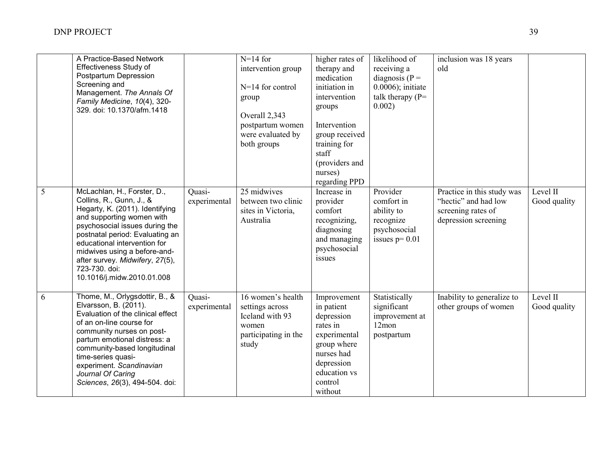|   | A Practice-Based Network<br>Effectiveness Study of<br>Postpartum Depression<br>Screening and<br>Management. The Annals Of<br>Family Medicine, 10(4), 320-<br>329. doi: 10.1370/afm.1418                                                                                                                                                        |                        | $N=14$ for<br>intervention group<br>$N=14$ for control<br>group<br>Overall 2,343<br>postpartum women<br>were evaluated by<br>both groups | higher rates of<br>therapy and<br>medication<br>initiation in<br>intervention<br>groups<br>Intervention<br>group received<br>training for<br>staff<br>(providers and<br>nurses) | likelihood of<br>receiving a<br>diagnosis ( $P =$<br>$0.0006$ ; initiate<br>talk therapy $(P=$<br>0.002) | inclusion was 18 years<br>old                                                                    |                          |
|---|------------------------------------------------------------------------------------------------------------------------------------------------------------------------------------------------------------------------------------------------------------------------------------------------------------------------------------------------|------------------------|------------------------------------------------------------------------------------------------------------------------------------------|---------------------------------------------------------------------------------------------------------------------------------------------------------------------------------|----------------------------------------------------------------------------------------------------------|--------------------------------------------------------------------------------------------------|--------------------------|
| 5 | McLachlan, H., Forster, D.,<br>Collins, R., Gunn, J., &<br>Hegarty, K. (2011). Identifying<br>and supporting women with<br>psychosocial issues during the<br>postnatal period: Evaluating an<br>educational intervention for<br>midwives using a before-and-<br>after survey. Midwifery, 27(5),<br>723-730. doi:<br>10.1016/j.midw.2010.01.008 | Quasi-<br>experimental | $25$ midwives<br>between two clinic<br>sites in Victoria,<br>Australia                                                                   | regarding PPD<br>Increase in<br>provider<br>comfort<br>recognizing,<br>diagnosing<br>and managing<br>psychosocial<br>issues                                                     | Provider<br>comfort in<br>ability to<br>recognize<br>psychosocial<br>issues $p=0.01$                     | Practice in this study was<br>"hectic" and had low<br>screening rates of<br>depression screening | Level II<br>Good quality |
| 6 | Thome, M., Orlygsdottir, B., &<br>Elvarsson, B. (2011).<br>Evaluation of the clinical effect<br>of an on-line course for<br>community nurses on post-<br>partum emotional distress: a<br>community-based longitudinal<br>time-series quasi-<br>experiment. Scandinavian<br>Journal Of Caring<br>Sciences, 26(3), 494-504. doi:                 | Ouasi-<br>experimental | 16 women's health<br>settings across<br>Iceland with 93<br>women<br>participating in the<br>study                                        | Improvement<br>in patient<br>depression<br>rates in<br>experimental<br>group where<br>nurses had<br>depression<br>education vs<br>control<br>without                            | Statistically<br>significant<br>improvement at<br>12mon<br>postpartum                                    | Inability to generalize to<br>other groups of women                                              | Level II<br>Good quality |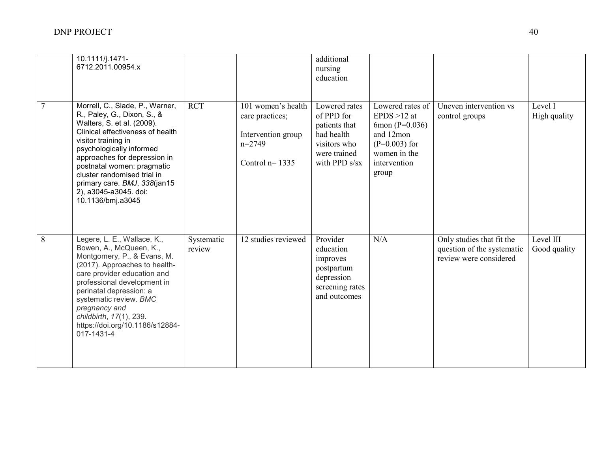|                | 10.1111/j.1471-<br>6712.2011.00954.x                                                                                                                                                                                                                                                                                                                           |                      |                                                                                             | additional<br>nursing<br>education                                                                            |                                                                                                                                |                                                                                   |                           |
|----------------|----------------------------------------------------------------------------------------------------------------------------------------------------------------------------------------------------------------------------------------------------------------------------------------------------------------------------------------------------------------|----------------------|---------------------------------------------------------------------------------------------|---------------------------------------------------------------------------------------------------------------|--------------------------------------------------------------------------------------------------------------------------------|-----------------------------------------------------------------------------------|---------------------------|
| $\overline{7}$ | Morrell, C., Slade, P., Warner,<br>R., Paley, G., Dixon, S., &<br>Walters, S. et al. (2009).<br>Clinical effectiveness of health<br>visitor training in<br>psychologically informed<br>approaches for depression in<br>postnatal women: pragmatic<br>cluster randomised trial in<br>primary care. BMJ, 338(jan15<br>2), a3045-a3045. doi:<br>10.1136/bmj.a3045 | <b>RCT</b>           | 101 women's health<br>care practices;<br>Intervention group<br>$n=2749$<br>Control $n=1335$ | Lowered rates<br>of PPD for<br>patients that<br>had health<br>visitors who<br>were trained<br>with PPD $s/sx$ | Lowered rates of<br>EPDS $>12$ at<br>6mon $(P=0.036)$<br>and 12mon<br>$(P=0.003)$ for<br>women in the<br>intervention<br>group | Uneven intervention vs<br>control groups                                          | Level I<br>High quality   |
| 8              | Legere, L. E., Wallace, K.,<br>Bowen, A., McQueen, K.,<br>Montgomery, P., & Evans, M.<br>(2017). Approaches to health-<br>care provider education and<br>professional development in<br>perinatal depression: a<br>systematic review. BMC<br>pregnancy and<br>childbirth, 17(1), 239.<br>https://doi.org/10.1186/s12884-<br>017-1431-4                         | Systematic<br>review | 12 studies reviewed                                                                         | Provider<br>education<br>improves<br>postpartum<br>depression<br>screening rates<br>and outcomes              | N/A                                                                                                                            | Only studies that fit the<br>question of the systematic<br>review were considered | Level III<br>Good quality |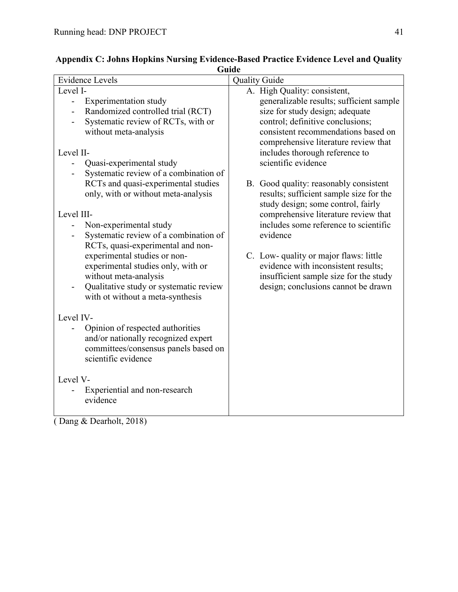| <b>Evidence Levels</b>                                                                                                                                       | uuuv<br><b>Quality Guide</b>                                                                                                                                                                   |
|--------------------------------------------------------------------------------------------------------------------------------------------------------------|------------------------------------------------------------------------------------------------------------------------------------------------------------------------------------------------|
| Level I-                                                                                                                                                     | A. High Quality: consistent,                                                                                                                                                                   |
| <b>Experimentation study</b><br>$\overline{\phantom{a}}$<br>Randomized controlled trial (RCT)<br>Systematic review of RCTs, with or<br>without meta-analysis | generalizable results; sufficient sample<br>size for study design; adequate<br>control; definitive conclusions;<br>consistent recommendations based on<br>comprehensive literature review that |
| Level II-                                                                                                                                                    | includes thorough reference to                                                                                                                                                                 |
| Quasi-experimental study<br>$\overline{\phantom{a}}$                                                                                                         | scientific evidence                                                                                                                                                                            |
| Systematic review of a combination of<br>RCTs and quasi-experimental studies<br>only, with or without meta-analysis                                          | B. Good quality: reasonably consistent<br>results; sufficient sample size for the<br>study design; some control, fairly                                                                        |
| Level III-                                                                                                                                                   | comprehensive literature review that                                                                                                                                                           |
| Non-experimental study<br>$\overline{\phantom{a}}$<br>Systematic review of a combination of<br>RCTs, quasi-experimental and non-                             | includes some reference to scientific<br>evidence                                                                                                                                              |
| experimental studies or non-<br>experimental studies only, with or<br>without meta-analysis<br>Qualitative study or systematic review                        | C. Low- quality or major flaws: little<br>evidence with inconsistent results;<br>insufficient sample size for the study<br>design; conclusions cannot be drawn                                 |
| with ot without a meta-synthesis                                                                                                                             |                                                                                                                                                                                                |
| Level IV-                                                                                                                                                    |                                                                                                                                                                                                |
| Opinion of respected authorities<br>and/or nationally recognized expert<br>committees/consensus panels based on<br>scientific evidence                       |                                                                                                                                                                                                |
| Level V-<br>Experiential and non-research<br>evidence                                                                                                        |                                                                                                                                                                                                |

<span id="page-41-0"></span>

| Appendix C: Johns Hopkins Nursing Evidence-Based Practice Evidence Level and Quality |
|--------------------------------------------------------------------------------------|
| Guide                                                                                |

( Dang & Dearholt, 2018)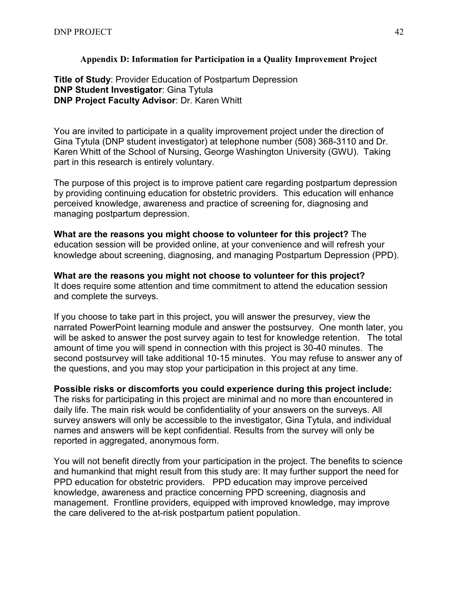# **Appendix D: Information for Participation in a Quality Improvement Project**

<span id="page-42-0"></span>**Title of Study**: Provider Education of Postpartum Depression **DNP Student Investigator**: Gina Tytula **DNP Project Faculty Advisor**: Dr. Karen Whitt

You are invited to participate in a quality improvement project under the direction of Gina Tytula (DNP student investigator) at telephone number (508) 368-3110 and Dr. Karen Whitt of the School of Nursing, George Washington University (GWU). Taking part in this research is entirely voluntary.

The purpose of this project is to improve patient care regarding postpartum depression by providing continuing education for obstetric providers. This education will enhance perceived knowledge, awareness and practice of screening for, diagnosing and managing postpartum depression.

**What are the reasons you might choose to volunteer for this project?** The education session will be provided online, at your convenience and will refresh your knowledge about screening, diagnosing, and managing Postpartum Depression (PPD).

# **What are the reasons you might not choose to volunteer for this project?**

It does require some attention and time commitment to attend the education session and complete the surveys.

If you choose to take part in this project, you will answer the presurvey, view the narrated PowerPoint learning module and answer the postsurvey. One month later, you will be asked to answer the post survey again to test for knowledge retention. The total amount of time you will spend in connection with this project is 30-40 minutes. The second postsurvey will take additional 10-15 minutes. You may refuse to answer any of the questions, and you may stop your participation in this project at any time.

# **Possible risks or discomforts you could experience during this project include:**

The risks for participating in this project are minimal and no more than encountered in daily life. The main risk would be confidentiality of your answers on the surveys. All survey answers will only be accessible to the investigator, Gina Tytula, and individual names and answers will be kept confidential. Results from the survey will only be reported in aggregated, anonymous form.

You will not benefit directly from your participation in the project. The benefits to science and humankind that might result from this study are: It may further support the need for PPD education for obstetric providers. PPD education may improve perceived knowledge, awareness and practice concerning PPD screening, diagnosis and management. Frontline providers, equipped with improved knowledge, may improve the care delivered to the at-risk postpartum patient population.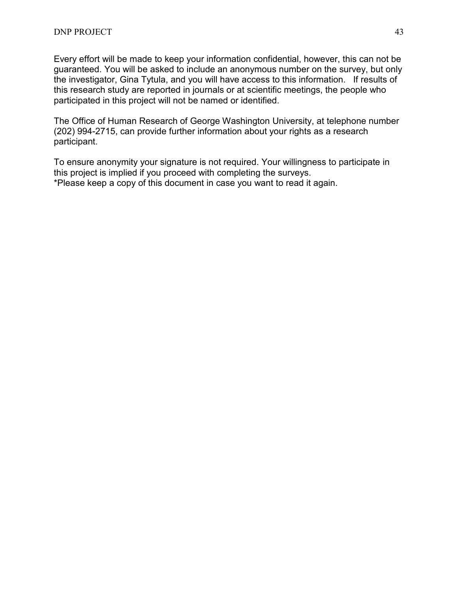Every effort will be made to keep your information confidential, however, this can not be guaranteed. You will be asked to include an anonymous number on the survey, but only the investigator, Gina Tytula, and you will have access to this information. If results of this research study are reported in journals or at scientific meetings, the people who participated in this project will not be named or identified.

The Office of Human Research of George Washington University, at telephone number (202) 994-2715, can provide further information about your rights as a research participant.

To ensure anonymity your signature is not required. Your willingness to participate in this project is implied if you proceed with completing the surveys. \*Please keep a copy of this document in case you want to read it again.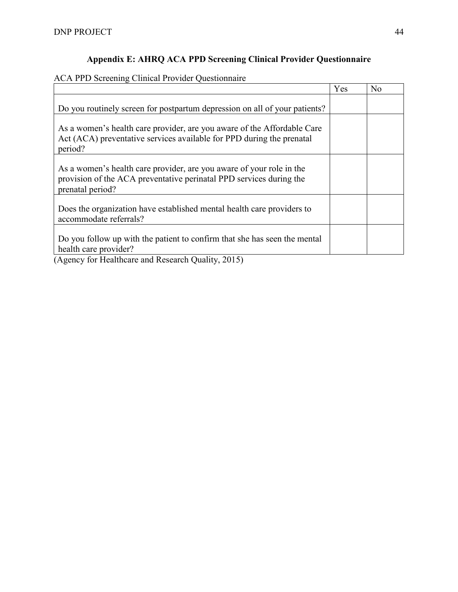# **Appendix E: AHRQ ACA PPD Screening Clinical Provider Questionnaire**

# <span id="page-44-0"></span>ACA PPD Screening Clinical Provider Questionnaire

|                                                                                                                                                                                            | Yes | N <sub>o</sub> |
|--------------------------------------------------------------------------------------------------------------------------------------------------------------------------------------------|-----|----------------|
| Do you routinely screen for postpartum depression on all of your patients?                                                                                                                 |     |                |
| As a women's health care provider, are you aware of the Affordable Care<br>Act (ACA) preventative services available for PPD during the prenatal<br>period?                                |     |                |
| As a women's health care provider, are you aware of your role in the<br>provision of the ACA preventative perinatal PPD services during the<br>prenatal period?                            |     |                |
| Does the organization have established mental health care providers to<br>accommodate referrals?                                                                                           |     |                |
| Do you follow up with the patient to confirm that she has seen the mental<br>health care provider?<br>$\sqrt{1}$ $\sqrt{1}$ $\sqrt{1}$ $\sqrt{1}$<br>1 <sub>n</sub><br>$1 \cap 1$ , $0.17$ |     |                |

(Agency for Healthcare and Research Quality, 2015)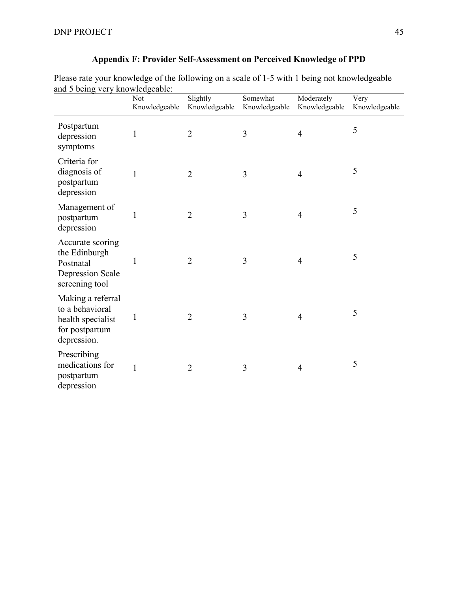| and 5 being very knowledgeable:                                                             | Not<br>Knowledgeable | Slightly<br>Knowledgeable | Somewhat<br>Knowledgeable | Moderately<br>Knowledgeable | Very<br>Knowledgeable |
|---------------------------------------------------------------------------------------------|----------------------|---------------------------|---------------------------|-----------------------------|-----------------------|
| Postpartum<br>depression<br>symptoms                                                        | 1                    | $\overline{2}$            | $\mathfrak{Z}$            | $\overline{4}$              | 5                     |
| Criteria for<br>diagnosis of<br>postpartum<br>depression                                    | 1                    | $\overline{2}$            | 3                         | $\overline{4}$              | 5                     |
| Management of<br>postpartum<br>depression                                                   | 1                    | $\overline{2}$            | 3                         | $\overline{4}$              | 5                     |
| Accurate scoring<br>the Edinburgh<br>Postnatal<br><b>Depression Scale</b><br>screening tool | 1                    | $\overline{2}$            | 3                         | $\overline{4}$              | 5                     |
| Making a referral<br>to a behavioral<br>health specialist<br>for postpartum<br>depression.  | 1                    | $\overline{2}$            | 3                         | $\overline{4}$              | 5                     |
| Prescribing<br>medications for<br>postpartum<br>depression                                  | $\mathbf{1}$         | $\overline{2}$            | 3                         | $\overline{4}$              | 5                     |

# **Appendix F: Provider Self-Assessment on Perceived Knowledge of PPD**

<span id="page-45-0"></span>Please rate your knowledge of the following on a scale of 1-5 with 1 being not knowledgeable and 5 being very knowledgeable: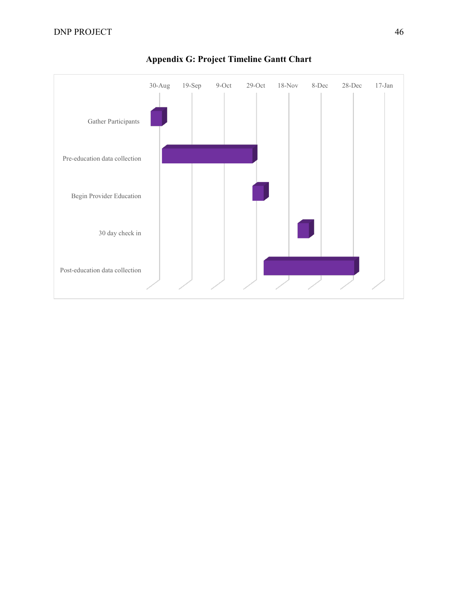<span id="page-46-0"></span>

# **Appendix G: Project Timeline Gantt Chart**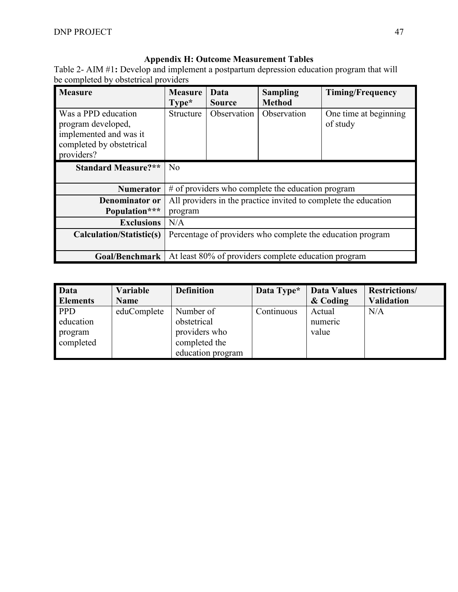# **Appendix H: Outcome Measurement Tables**

<span id="page-47-0"></span>Table 2- AIM #1**:** Develop and implement a postpartum depression education program that will be completed by obstetrical providers

| <b>Measure</b>                                                                                                | <b>Measure</b><br>$Type*$                                                  | Data<br><b>Source</b> | <b>Sampling</b><br><b>Method</b> | <b>Timing/Frequency</b>           |  |  |
|---------------------------------------------------------------------------------------------------------------|----------------------------------------------------------------------------|-----------------------|----------------------------------|-----------------------------------|--|--|
| Was a PPD education<br>program developed,<br>implemented and was it<br>completed by obstetrical<br>providers? | Structure                                                                  | Observation           | Observation                      | One time at beginning<br>of study |  |  |
| <b>Standard Measure?**</b>                                                                                    | N <sub>o</sub>                                                             |                       |                                  |                                   |  |  |
| <b>Numerator</b>                                                                                              | # of providers who complete the education program                          |                       |                                  |                                   |  |  |
| Denominator or<br>Population***                                                                               | All providers in the practice invited to complete the education<br>program |                       |                                  |                                   |  |  |
| <b>Exclusions</b>                                                                                             | N/A                                                                        |                       |                                  |                                   |  |  |
| Calculation/Statistic(s)                                                                                      | Percentage of providers who complete the education program                 |                       |                                  |                                   |  |  |
| Goal/Benchmark                                                                                                | At least 80% of providers complete education program                       |                       |                                  |                                   |  |  |

| <b>Data</b>     | Variable    | <b>Definition</b> | Data Type* | <b>Data Values</b> | <b>Restrictions/</b> |
|-----------------|-------------|-------------------|------------|--------------------|----------------------|
| <b>Elements</b> | <b>Name</b> |                   |            | & Coding           | <b>Validation</b>    |
| <b>PPD</b>      | eduComplete | Number of         | Continuous | Actual             | N/A                  |
| education       |             | obstetrical       |            | numeric            |                      |
| program         |             | providers who     |            | value              |                      |
| completed       |             | completed the     |            |                    |                      |
|                 |             | education program |            |                    |                      |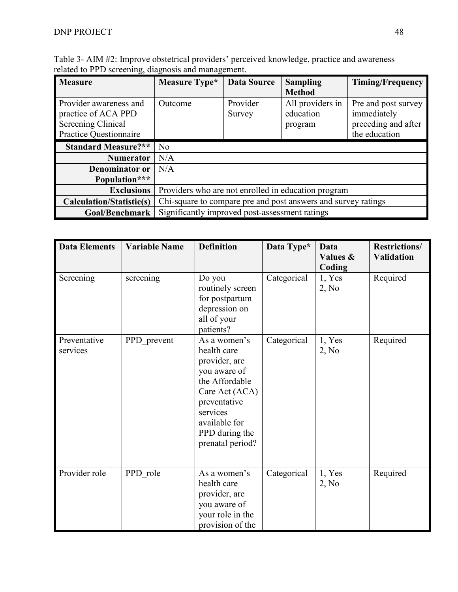| $\alpha$ and $\alpha$ is the servering, and the management. |                                                |                    |                                                               |                         |
|-------------------------------------------------------------|------------------------------------------------|--------------------|---------------------------------------------------------------|-------------------------|
| <b>Measure</b>                                              | Measure Type*                                  | <b>Data Source</b> | <b>Sampling</b>                                               | <b>Timing/Frequency</b> |
|                                                             |                                                |                    | <b>Method</b>                                                 |                         |
| Provider awareness and                                      | Outcome                                        | Provider           | All providers in                                              | Pre and post survey     |
| practice of ACA PPD                                         |                                                | Survey             | education                                                     | immediately             |
| Screening Clinical                                          |                                                |                    | program                                                       | preceding and after     |
|                                                             |                                                |                    |                                                               |                         |
| Practice Questionnaire                                      |                                                |                    |                                                               | the education           |
| <b>Standard Measure?**</b>                                  | N <sub>o</sub>                                 |                    |                                                               |                         |
| <b>Numerator</b>                                            | N/A                                            |                    |                                                               |                         |
| Denominator or                                              | N/A                                            |                    |                                                               |                         |
| Population***                                               |                                                |                    |                                                               |                         |
| <b>Exclusions</b>                                           |                                                |                    | Providers who are not enrolled in education program           |                         |
| Calculation/Statistic(s)                                    |                                                |                    | Chi-square to compare pre and post answers and survey ratings |                         |
| <b>Goal/Benchmark</b>                                       | Significantly improved post-assessment ratings |                    |                                                               |                         |

Table 3- AIM #2: Improve obstetrical providers' perceived knowledge, practice and awareness related to PPD screening, diagnosis and management.

| <b>Data Elements</b>     | <b>Variable Name</b> | <b>Definition</b>                                                                                                                                                                   | Data Type*  | Data<br>Values &<br>Coding | <b>Restrictions/</b><br><b>Validation</b> |
|--------------------------|----------------------|-------------------------------------------------------------------------------------------------------------------------------------------------------------------------------------|-------------|----------------------------|-------------------------------------------|
| Screening                | screening            | Do you<br>routinely screen<br>for postpartum<br>depression on<br>all of your<br>patients?                                                                                           | Categorical | 1, Yes<br>2, No            | Required                                  |
| Preventative<br>services | PPD prevent          | As a women's<br>health care<br>provider, are<br>you aware of<br>the Affordable<br>Care Act (ACA)<br>preventative<br>services<br>available for<br>PPD during the<br>prenatal period? | Categorical | 1, Yes<br>2, No            | Required                                  |
| Provider role            | PPD role             | As a women's<br>health care<br>provider, are<br>you aware of<br>your role in the<br>provision of the                                                                                | Categorical | 1, Yes<br>2, No            | Required                                  |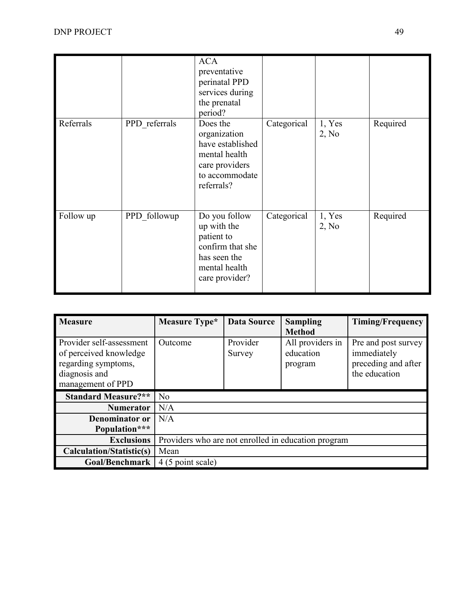|           |               | <b>ACA</b><br>preventative<br>perinatal PPD<br>services during<br>the prenatal<br>period?                         |             |                 |          |
|-----------|---------------|-------------------------------------------------------------------------------------------------------------------|-------------|-----------------|----------|
| Referrals | PPD referrals | Does the<br>organization<br>have established<br>mental health<br>care providers<br>to accommodate<br>referrals?   | Categorical | 1, Yes<br>2, No | Required |
| Follow up | PPD followup  | Do you follow<br>up with the<br>patient to<br>confirm that she<br>has seen the<br>mental health<br>care provider? | Categorical | 1, Yes<br>2, No | Required |

| <b>Measure</b>                                                                                                  | Measure Type*                                       | <b>Data Source</b> | <b>Sampling</b><br><b>Method</b>         | <b>Timing/Frequency</b>                                                    |  |
|-----------------------------------------------------------------------------------------------------------------|-----------------------------------------------------|--------------------|------------------------------------------|----------------------------------------------------------------------------|--|
| Provider self-assessment<br>of perceived knowledge<br>regarding symptoms,<br>diagnosis and<br>management of PPD | Outcome                                             | Provider<br>Survey | All providers in<br>education<br>program | Pre and post survey<br>immediately<br>preceding and after<br>the education |  |
| <b>Standard Measure?**</b>                                                                                      | N <sub>0</sub>                                      |                    |                                          |                                                                            |  |
| <b>Numerator</b>                                                                                                | N/A                                                 |                    |                                          |                                                                            |  |
| Denominator or                                                                                                  | N/A                                                 |                    |                                          |                                                                            |  |
| Population***                                                                                                   |                                                     |                    |                                          |                                                                            |  |
| <b>Exclusions</b>                                                                                               | Providers who are not enrolled in education program |                    |                                          |                                                                            |  |
| <b>Calculation/Statistic(s)</b>                                                                                 | Mean                                                |                    |                                          |                                                                            |  |
| <b>Goal/Benchmark</b>                                                                                           | 4 (5 point scale)                                   |                    |                                          |                                                                            |  |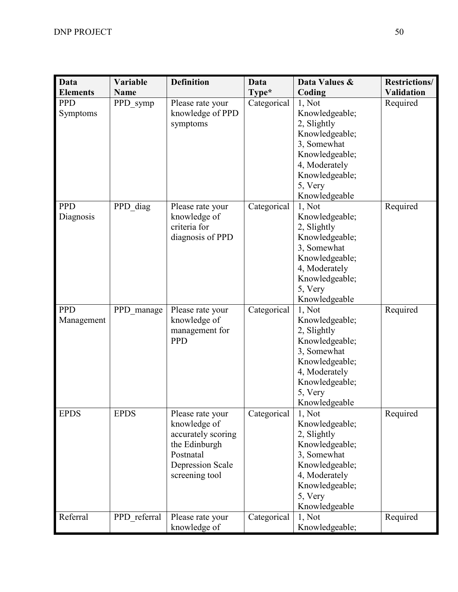| <b>Data</b>              | Variable     | <b>Definition</b>                                                                                                                 | Data        | Data Values &                                                                                                                                             | <b>Restrictions/</b> |
|--------------------------|--------------|-----------------------------------------------------------------------------------------------------------------------------------|-------------|-----------------------------------------------------------------------------------------------------------------------------------------------------------|----------------------|
| <b>Elements</b>          | <b>Name</b>  |                                                                                                                                   | Type*       | Coding                                                                                                                                                    | <b>Validation</b>    |
| <b>PPD</b><br>Symptoms   | PPD symp     | Please rate your<br>knowledge of PPD<br>symptoms                                                                                  | Categorical | 1, Not<br>Knowledgeable;<br>2, Slightly<br>Knowledgeable;<br>3, Somewhat<br>Knowledgeable;<br>4, Moderately<br>Knowledgeable;<br>5, Very<br>Knowledgeable | Required             |
| <b>PPD</b><br>Diagnosis  | PPD diag     | Please rate your<br>knowledge of<br>criteria for<br>diagnosis of PPD                                                              | Categorical | 1, Not<br>Knowledgeable;<br>2, Slightly<br>Knowledgeable;<br>3, Somewhat<br>Knowledgeable;<br>4, Moderately<br>Knowledgeable;<br>5, Very<br>Knowledgeable | Required             |
| <b>PPD</b><br>Management | PPD manage   | Please rate your<br>knowledge of<br>management for<br><b>PPD</b>                                                                  | Categorical | 1, Not<br>Knowledgeable;<br>2, Slightly<br>Knowledgeable;<br>3, Somewhat<br>Knowledgeable;<br>4, Moderately<br>Knowledgeable;<br>5, Very<br>Knowledgeable | Required             |
| <b>EPDS</b>              | <b>EPDS</b>  | Please rate your<br>knowledge of<br>accurately scoring<br>the Edinburgh<br>Postnatal<br><b>Depression Scale</b><br>screening tool | Categorical | 1, Not<br>Knowledgeable;<br>2, Slightly<br>Knowledgeable;<br>3, Somewhat<br>Knowledgeable;<br>4, Moderately<br>Knowledgeable;<br>5, Very<br>Knowledgeable | Required             |
| Referral                 | PPD referral | Please rate your<br>knowledge of                                                                                                  | Categorical | 1, Not<br>Knowledgeable;                                                                                                                                  | Required             |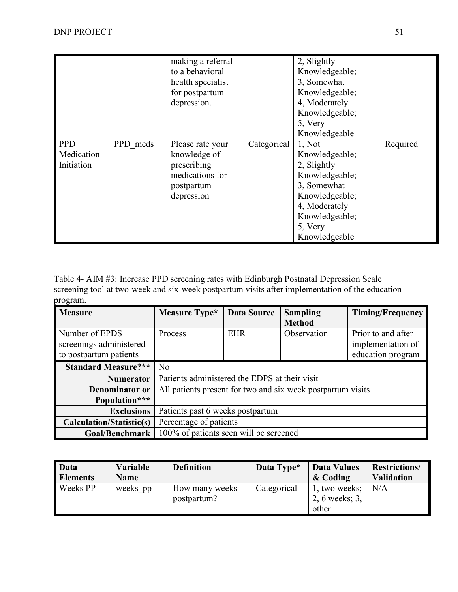|                                        |          | making a referral<br>to a behavioral<br>health specialist<br>for postpartum<br>depression.     |             | 2, Slightly<br>Knowledgeable;<br>3, Somewhat<br>Knowledgeable;<br>4, Moderately<br>Knowledgeable;<br>5, Very<br>Knowledgeable                             |          |
|----------------------------------------|----------|------------------------------------------------------------------------------------------------|-------------|-----------------------------------------------------------------------------------------------------------------------------------------------------------|----------|
| <b>PPD</b><br>Medication<br>Initiation | PPD meds | Please rate your<br>knowledge of<br>prescribing<br>medications for<br>postpartum<br>depression | Categorical | 1, Not<br>Knowledgeable;<br>2, Slightly<br>Knowledgeable;<br>3, Somewhat<br>Knowledgeable;<br>4, Moderately<br>Knowledgeable;<br>5, Very<br>Knowledgeable | Required |

Table 4- AIM #3: Increase PPD screening rates with Edinburgh Postnatal Depression Scale screening tool at two-week and six-week postpartum visits after implementation of the education program.

| <b>Measure</b>                  | Measure Type*                                 | <b>Data Source</b> | <b>Sampling</b>                                             | <b>Timing/Frequency</b> |  |
|---------------------------------|-----------------------------------------------|--------------------|-------------------------------------------------------------|-------------------------|--|
|                                 |                                               |                    | <b>Method</b>                                               |                         |  |
| Number of EPDS                  | Process                                       | <b>EHR</b>         | Observation                                                 | Prior to and after      |  |
| screenings administered         |                                               |                    |                                                             | implementation of       |  |
| to postpartum patients          |                                               |                    |                                                             | education program       |  |
| <b>Standard Measure?**</b>      | N <sub>o</sub>                                |                    |                                                             |                         |  |
| <b>Numerator</b>                | Patients administered the EDPS at their visit |                    |                                                             |                         |  |
| Denominator or                  |                                               |                    | All patients present for two and six week postpartum visits |                         |  |
| Population***                   |                                               |                    |                                                             |                         |  |
| <b>Exclusions</b>               | Patients past 6 weeks postpartum              |                    |                                                             |                         |  |
| <b>Calculation/Statistic(s)</b> | Percentage of patients                        |                    |                                                             |                         |  |
| <b>Goal/Benchmark</b>           | 100% of patients seen will be screened        |                    |                                                             |                         |  |

| Data            | <b>Variable</b> | <b>Definition</b> | Data Type*  | Data Values    | <b>Restrictions/</b> |
|-----------------|-----------------|-------------------|-------------|----------------|----------------------|
| <b>Elements</b> | <b>Name</b>     |                   |             | & Coding       | <b>Validation</b>    |
| Weeks PP        | weeks pp        | How many weeks    | Categorical | 1, two weeks;  | N/A                  |
|                 |                 | postpartum?       |             | 2, 6 weeks; 3, |                      |
|                 |                 |                   |             | other          |                      |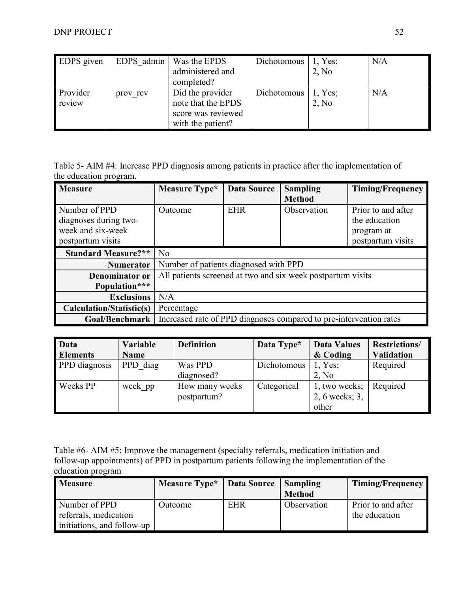| <b>EDPS</b> given |          | EDPS admin   Was the EPDS | Dichotomous | $\vert$ 1, Yes; | N/A |
|-------------------|----------|---------------------------|-------------|-----------------|-----|
|                   |          | administered and          |             | 2, No           |     |
|                   |          | completed?                |             |                 |     |
| Provider          | prov rev | Did the provider          | Dichotomous | 1, Yes;         | N/A |
| review            |          | note that the EPDS        |             | 2, No           |     |
|                   |          | score was reviewed        |             |                 |     |
|                   |          | with the patient?         |             |                 |     |

Table 5- AIM #4: Increase PPD diagnosis among patients in practice after the implementation of the education program.

| <b>Measure</b>             | Measure Type*                         | <b>Data Source</b> | <b>Sampling</b>                                                    | <b>Timing/Frequency</b> |
|----------------------------|---------------------------------------|--------------------|--------------------------------------------------------------------|-------------------------|
|                            |                                       |                    | <b>Method</b>                                                      |                         |
| Number of PPD              | Outcome                               | <b>EHR</b>         | Observation                                                        | Prior to and after      |
| diagnoses during two-      |                                       |                    |                                                                    | the education           |
| week and six-week          |                                       |                    |                                                                    | program at              |
| postpartum visits          |                                       |                    |                                                                    | postpartum visits       |
| <b>Standard Measure?**</b> | N <sub>o</sub>                        |                    |                                                                    |                         |
| <b>Numerator</b>           | Number of patients diagnosed with PPD |                    |                                                                    |                         |
| <b>Denominator or</b>      |                                       |                    | All patients screened at two and six week postpartum visits        |                         |
| Population***              |                                       |                    |                                                                    |                         |
| <b>Exclusions</b>          | N/A                                   |                    |                                                                    |                         |
| Calculation/Statistic(s)   | Percentage                            |                    |                                                                    |                         |
| Goal/Benchmark             |                                       |                    | Increased rate of PPD diagnoses compared to pre-intervention rates |                         |

| <b>Data</b>     | Variable    | <b>Definition</b> | Data Type*  | <b>Data Values</b> | <b>Restrictions/</b> |
|-----------------|-------------|-------------------|-------------|--------------------|----------------------|
| <b>Elements</b> | <b>Name</b> |                   |             | & Coding           | <b>Validation</b>    |
| PPD diagnosis   | PPD diag    | Was PPD           | Dichotomous | 1, Yes;            | Required             |
|                 |             | diagnosed?        |             | 2, No              |                      |
| Weeks PP        | week pp     | How many weeks    | Categorical | 1, two weeks;      | Required             |
|                 |             | postpartum?       |             | 2, 6 weeks; 3,     |                      |
|                 |             |                   |             | other              |                      |

Table #6- AIM #5: Improve the management (specialty referrals, medication initiation and follow-up appointments) of PPD in postpartum patients following the implementation of the education program

| <b>Measure</b>             | <b>Measure Type*</b> | Data Source   Sampling |               | <b>Timing/Frequency</b> |
|----------------------------|----------------------|------------------------|---------------|-------------------------|
|                            |                      |                        | <b>Method</b> |                         |
| Number of PPD              | Outcome              | <b>EHR</b>             | Observation   | Prior to and after      |
| referrals, medication      |                      |                        |               | the education           |
| initiations, and follow-up |                      |                        |               |                         |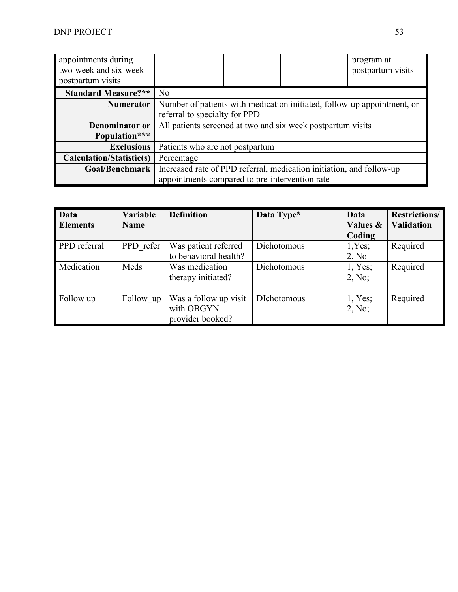| appointments during<br>two-week and six-week<br>postpartum visits |                                                                      |                                                                         |  | program at<br>postpartum visits |  |  |  |  |
|-------------------------------------------------------------------|----------------------------------------------------------------------|-------------------------------------------------------------------------|--|---------------------------------|--|--|--|--|
| <b>Standard Measure?**</b>                                        | N <sub>o</sub>                                                       |                                                                         |  |                                 |  |  |  |  |
| <b>Numerator</b>                                                  |                                                                      | Number of patients with medication initiated, follow-up appointment, or |  |                                 |  |  |  |  |
|                                                                   |                                                                      | referral to specialty for PPD                                           |  |                                 |  |  |  |  |
| Denominator or                                                    |                                                                      | All patients screened at two and six week postpartum visits             |  |                                 |  |  |  |  |
| Population***                                                     |                                                                      |                                                                         |  |                                 |  |  |  |  |
| <b>Exclusions</b>                                                 | Patients who are not postpartum                                      |                                                                         |  |                                 |  |  |  |  |
| <b>Calculation/Statistic(s)</b>                                   | Percentage                                                           |                                                                         |  |                                 |  |  |  |  |
| Goal/Benchmark                                                    | Increased rate of PPD referral, medication initiation, and follow-up |                                                                         |  |                                 |  |  |  |  |
|                                                                   | appointments compared to pre-intervention rate                       |                                                                         |  |                                 |  |  |  |  |

| <b>Data</b>     | <b>Variable</b> | <b>Definition</b>     | Data Type*         | Data                | <b>Restrictions/</b> |
|-----------------|-----------------|-----------------------|--------------------|---------------------|----------------------|
| <b>Elements</b> | <b>Name</b>     |                       |                    | <b>Values &amp;</b> | <b>Validation</b>    |
|                 |                 |                       |                    | Coding              |                      |
| PPD referral    | PPD refer       | Was patient referred  | Dichotomous        | 1,Yes;              | Required             |
|                 |                 | to behavioral health? |                    | 2, No               |                      |
| Medication      | Meds            | Was medication        | Dichotomous        | 1, Yes;             | Required             |
|                 |                 | therapy initiated?    |                    | 2, No;              |                      |
|                 |                 |                       |                    |                     |                      |
| Follow up       | Follow up       | Was a follow up visit | <b>DIchotomous</b> | 1, Yes;             | Required             |
|                 |                 | with OBGYN            |                    | 2, No;              |                      |
|                 |                 | provider booked?      |                    |                     |                      |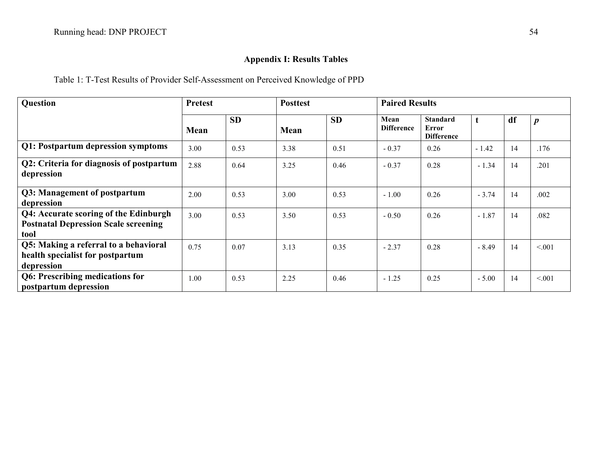# **Appendix I: Results Tables**

Table 1: T-Test Results of Provider Self-Assessment on Perceived Knowledge of PPD

| Question                                                                                     | <b>Pretest</b> |           | <b>Posttest</b> |           | <b>Paired Results</b>     |                                               |         |    |                  |
|----------------------------------------------------------------------------------------------|----------------|-----------|-----------------|-----------|---------------------------|-----------------------------------------------|---------|----|------------------|
|                                                                                              | Mean           | <b>SD</b> | Mean            | <b>SD</b> | Mean<br><b>Difference</b> | <b>Standard</b><br>Error<br><b>Difference</b> |         | df | $\boldsymbol{p}$ |
| Q1: Postpartum depression symptoms                                                           | 3.00           | 0.53      | 3.38            | 0.51      | $-0.37$                   | 0.26                                          | $-1.42$ | 14 | .176             |
| Q2: Criteria for diagnosis of postpartum<br>depression                                       | 2.88           | 0.64      | 3.25            | 0.46      | $-0.37$                   | 0.28                                          | $-1.34$ | 14 | .201             |
| Q3: Management of postpartum<br>depression                                                   | 2.00           | 0.53      | 3.00            | 0.53      | $-1.00$                   | 0.26                                          | $-3.74$ | 14 | .002             |
| Q4: Accurate scoring of the Edinburgh<br><b>Postnatal Depression Scale screening</b><br>tool | 3.00           | 0.53      | 3.50            | 0.53      | $-0.50$                   | 0.26                                          | $-1.87$ | 14 | .082             |
| Q5: Making a referral to a behavioral<br>health specialist for postpartum<br>depression      | 0.75           | 0.07      | 3.13            | 0.35      | $-2.37$                   | 0.28                                          | $-8.49$ | 14 | < 0.01           |
| Q6: Prescribing medications for<br>postpartum depression                                     | 1.00           | 0.53      | 2.25            | 0.46      | $-1.25$                   | 0.25                                          | $-5.00$ | 14 | < 0.01           |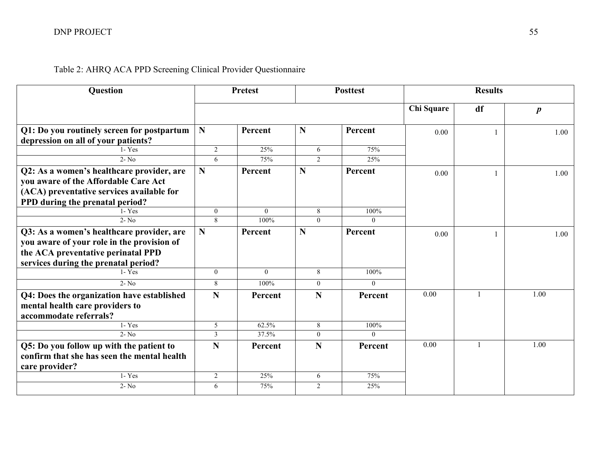# Table 2: AHRQ ACA PPD Screening Clinical Provider Questionnaire

| <b>Question</b>                             |                | <b>Pretest</b> | <b>Posttest</b> |          | <b>Results</b> |              |                  |  |
|---------------------------------------------|----------------|----------------|-----------------|----------|----------------|--------------|------------------|--|
|                                             |                |                |                 |          | Chi Square     | df           | $\boldsymbol{p}$ |  |
| Q1: Do you routinely screen for postpartum  | N              | Percent        | N               | Percent  | 0.00           |              | 1.00             |  |
| depression on all of your patients?         |                |                |                 |          |                |              |                  |  |
| $1 - Yes$                                   | $\overline{2}$ | 25%            | 6               | 75%      |                |              |                  |  |
| $2 - No$                                    | 6              | 75%            | $\overline{2}$  | 25%      |                |              |                  |  |
| Q2: As a women's healthcare provider, are   | $\mathbf N$    | Percent        | N               | Percent  | 0.00           |              | 1.00             |  |
| you aware of the Affordable Care Act        |                |                |                 |          |                |              |                  |  |
| (ACA) preventative services available for   |                |                |                 |          |                |              |                  |  |
| PPD during the prenatal period?             |                |                |                 |          |                |              |                  |  |
| $1 - Yes$                                   | $\theta$       | $\Omega$       | 8               | 100%     |                |              |                  |  |
| $2 - No$                                    | 8              | 100%           | $\Omega$        | 0        |                |              |                  |  |
| Q3: As a women's healthcare provider, are   | $\mathbf N$    | Percent        | N               | Percent  | 0.00           |              | 1.00             |  |
| you aware of your role in the provision of  |                |                |                 |          |                |              |                  |  |
| the ACA preventative perinatal PPD          |                |                |                 |          |                |              |                  |  |
| services during the prenatal period?        |                |                |                 |          |                |              |                  |  |
| $1 - Yes$                                   | $\theta$       | $\theta$       | 8               | 100%     |                |              |                  |  |
| $2 - No$                                    | 8              | 100%           | $\overline{0}$  | $\theta$ |                |              |                  |  |
| Q4: Does the organization have established  | $\mathbf N$    | Percent        | N               | Percent  | 0.00           | $\mathbf{1}$ | 1.00             |  |
| mental health care providers to             |                |                |                 |          |                |              |                  |  |
| accommodate referrals?                      |                |                |                 |          |                |              |                  |  |
| $1 - Yes$                                   | 5              | 62.5%          | $\,8\,$         | 100%     |                |              |                  |  |
| $2 - No$                                    | $\mathfrak{Z}$ | 37.5%          | $\overline{0}$  | $\Omega$ |                |              |                  |  |
| Q5: Do you follow up with the patient to    | N              | Percent        | N               | Percent  | 0.00           |              | 1.00             |  |
| confirm that she has seen the mental health |                |                |                 |          |                |              |                  |  |
| care provider?                              |                |                |                 |          |                |              |                  |  |
| $1 - Yes$                                   | $\overline{2}$ | 25%            | 6               | 75%      |                |              |                  |  |
| $2 - No$                                    | 6              | 75%            | 2               | 25%      |                |              |                  |  |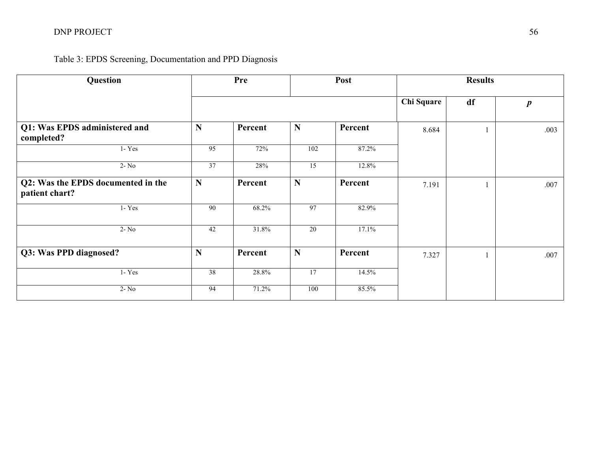# DNP PROJECT 56

# Table 3: EPDS Screening, Documentation and PPD Diagnosis

| Question                                             |                 | Pre     |                 | Post    | <b>Results</b> |    |                  |  |
|------------------------------------------------------|-----------------|---------|-----------------|---------|----------------|----|------------------|--|
|                                                      |                 |         |                 |         | Chi Square     | df | $\boldsymbol{p}$ |  |
| Q1: Was EPDS administered and<br>completed?          | N               | Percent | N               | Percent | 8.684          |    | .003             |  |
| $1 - Yes$                                            | 95              | 72%     | 102             | 87.2%   |                |    |                  |  |
| $2 - No$                                             | 37              | 28%     | $\overline{15}$ | 12.8%   |                |    |                  |  |
| Q2: Was the EPDS documented in the<br>patient chart? | N               | Percent | N               | Percent | 7.191          |    | .007             |  |
| $1 - Yes$                                            | 90              | 68.2%   | 97              | 82.9%   |                |    |                  |  |
| $2 - No$                                             | 42              | 31.8%   | 20              | 17.1%   |                |    |                  |  |
| Q3: Was PPD diagnosed?                               | N               | Percent | N               | Percent | 7.327          |    | .007             |  |
| $1 - Yes$                                            | $\overline{38}$ | 28.8%   | 17              | 14.5%   |                |    |                  |  |
| $2 - No$                                             | 94              | 71.2%   | 100             | 85.5%   |                |    |                  |  |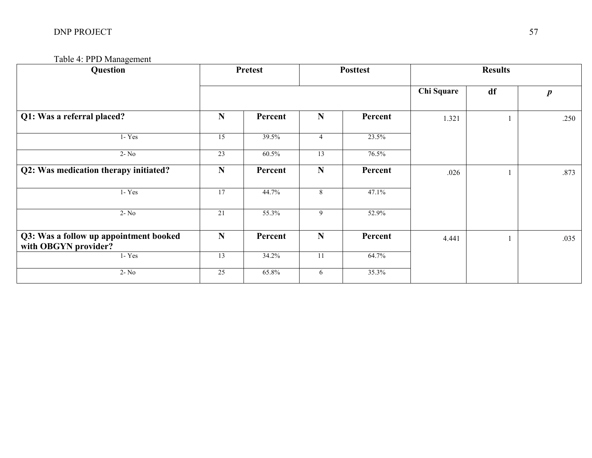| Question                                                       |             | <b>Pretest</b> |                 | <b>Posttest</b> | <b>Results</b> |    |                  |
|----------------------------------------------------------------|-------------|----------------|-----------------|-----------------|----------------|----|------------------|
|                                                                |             |                |                 |                 | Chi Square     | df | $\boldsymbol{p}$ |
| Q1: Was a referral placed?                                     | ${\bf N}$   | Percent        | ${\bf N}$       | Percent         | 1.321          |    | .250             |
| $1 - Yes$                                                      | 15          | 39.5%          | $\overline{4}$  | 23.5%           |                |    |                  |
| $2 - No$                                                       | 23          | 60.5%          | $\overline{13}$ | 76.5%           |                |    |                  |
| Q2: Was medication therapy initiated?                          | $\mathbf N$ | Percent        | $\mathbf N$     | Percent         | .026           |    | .873             |
| $1 - Yes$                                                      | 17          | 44.7%          | 8               | 47.1%           |                |    |                  |
| $2 - No$                                                       | 21          | 55.3%          | 9               | 52.9%           |                |    |                  |
| Q3: Was a follow up appointment booked<br>with OBGYN provider? | $\mathbf N$ | Percent        | $\mathbf N$     | Percent         | 4.441          |    | .035             |
| $1 - Yes$                                                      | 13          | 34.2%          | $11\,$          | 64.7%           |                |    |                  |
| $2 - No$                                                       | 25          | 65.8%          | 6               | 35.3%           |                |    |                  |